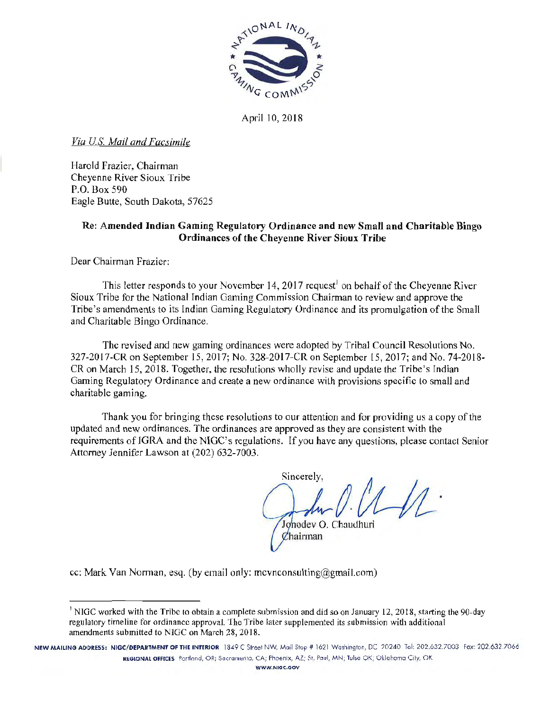

April 10, 2018

*Via US. Mail and Facsimile* 

Harold Frazier, Chairman Cheyenne River Sioux Tribe P.O. Box 590 Eagle Butte, South Dakota, 57625

### Re: Amended Indian Gaming Regulatory Ordinance and new Small and Charitable Bingo Ordinances of the Cheyenne River Sioux Tribe

Dear Chairman Frazier:

This letter responds to your November 14, 2017 request<sup>1</sup> on behalf of the Cheyenne River Sioux Tribe for the National Indian Gaming Commission Chairman to review and approve the Tribe's amendments to its Indian Gaming Regulatory Ordinance and its promulgation of the Small and Charitable Bingo Ordinance.

The revised and new gaming ordinances were adopted by Tribal Council Resolutions No. 327-2017-CR on September 15, 2017; No. 328-2017-CR on September 15, 2017; and No. 74-2018- CR on March 15, 2018. Together, the resolutions wholly revise and update the Tribe's Indian Gaming Regulatory Ordinance and create a new ordinance with provisions specific lo small and charitable gaming.

Thank you for bringing these resolutions to our attention and for providing us a copy of the updated and new ordinances. The ordinances are approved as they are consistent with the requirements of JGRA and the NIGC's regulations. If you have any questions, please contact Senior Attorney Jennifer Lawson at (202) 632-7003.

Sincerely, Jonodev O. Chaudhuri Chairman

cc: Mark Van Norman, esq. (by email only: mcvnconsulting@gmail.com)

<sup>&</sup>lt;sup>1</sup> NIGC worked with the Tribe to obtain a complete submission and did so on January 12, 2018, starting the 90-day regulatory timeline for ordinance approval. The Tribe later supplemented its submission with additional amendments submitted to NIGC on March 28, 2018.

NEW MAILING ADDRESS: NIGC/OEPARTMENT OF THE INTERIOR 1849 *C* Street NW, Mail Stop# 1621 Washington, DC 20240 Tel: 202.632.7003 Fox: 202.632.7066 REGIONAL OFFICES Portland, OR; Sacramento, CA; Phoenix, AZ; St, Paul, MN; Tulsa OK; Oklahoma City, OK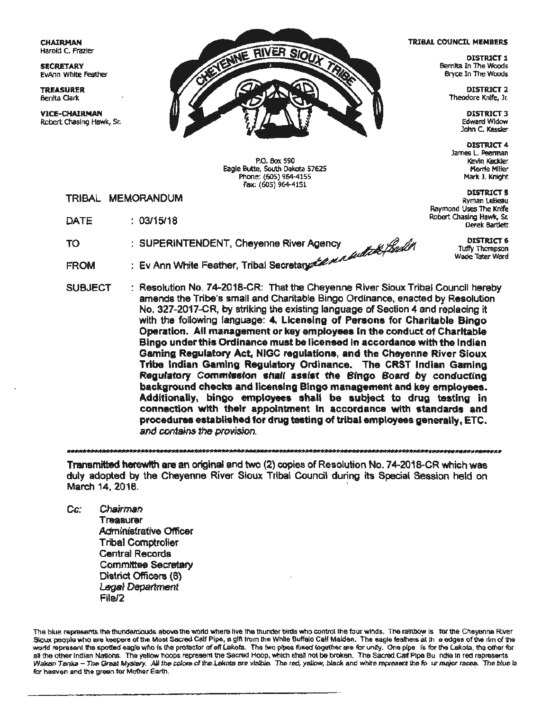**CHAIRMAN** Harold C. Frazier

SECRETARY EvAnn White Feather

TREASURER Benita Clark

VICE-CHAIRMAN Robert Chasing Hawk, Sr.



P.O. 8ox590 Eagle Butte, South Dakota 57625 Phone: (605) 964-4155 Fax: (605)964-4151

- 
- Robert Chasing Hawk, Sr. DATE 03/15/18
- TO SUPERINTENDENT, Cheyenne River Agency
- FROM Ev Ann White Feather, Tribal Secreta
- **SUBJECT** Resolution No. 74-2018-CR: That the Cheyenne River Sioux Tribal Council hereby amends the Tribe's small and Charitable Bingo Ordinance, enacted by Resolution No. 327-2017-CR, by striking the existing language of Section 4 and replacing it with the following language: 4. Licensing of Persons for Charitable Bingo Operation. AU management or key employees In the conduct of Charitable Bingo under this Ordinance must be licensed In accordance with the Indian Gaming Regulatory Act, NIGC regulations, and the Cheyenne River Sioux Tribe Indian Gaming Regulatory Ordinance. The CRST Indian Gaming Regulatory Commission shall assist the Bingo Board by conducting background checks and licensing Bingo management and key employees. Additionally., bingo employees shall be subject to drug testing in connection with their appointment ln accordance with standards and procedures established for drug testing of tribal employees generally, ETC. and contains the provision.

Transmitted herewith are an original and two (2) copies of Resolution No. 74-2018-CR which was duly adopted by the Cheyenne River Sioux Triba' Council during its Special Session held on March 14, 2018.

Cc: Chairman Treasurer Administrative Officer Tribal Comptroller Central Records Committee Secretary District Officers (6) Legal Department File/2

The blue represents the thunderclouds above the world where live the thunder birds who control the four winds. The rainbow is for the Cheyenne River Sioux people who are keepens of the Most Sacred Calf Pipe, a gift from the White Buffalo Calf Maiden. The eagle feathers at th e edges of the rim of the world represent the spotted eagle who is the protector of all Lakota. The two pipes fused together are for unity. One pipe is for the Lakota, the other for all the other Indian Nations. The yellow hoops represent the Sacred Hoop, which shall not be broken. The Sacred Calf Pipe Bu note in red represents Wakan Tanka - The Great Mystery. All the colors of the Lakota are visible. The red, yellow, black and white represent the fo ur major races. The blue is for heaven and the green for Mother Earth.

#### TRIBAL COUNCIL MEMBERS

DISTRICT<sub>1</sub> Bernita In The Woods Bryce In The Wood&

> DISTRICT<sub>2</sub> Theodore Knife, Jr.

> > DISTRICT<sub>3</sub> Edward Widow John C. Kessler

**OISTRICT 4** James L. Pearman Kevin Kedder Merrie Miiier Mark J. Knight

**TRIBAL MEMORANDUM** DISTRICT 5 Ryman LeBeau Raymond Uses The Knife<br>Robert Chasing Hawk, Sr. Derek Bartlett

> DISTRICT<sub>6</sub> Tuffy Thompson Wade Tater Ward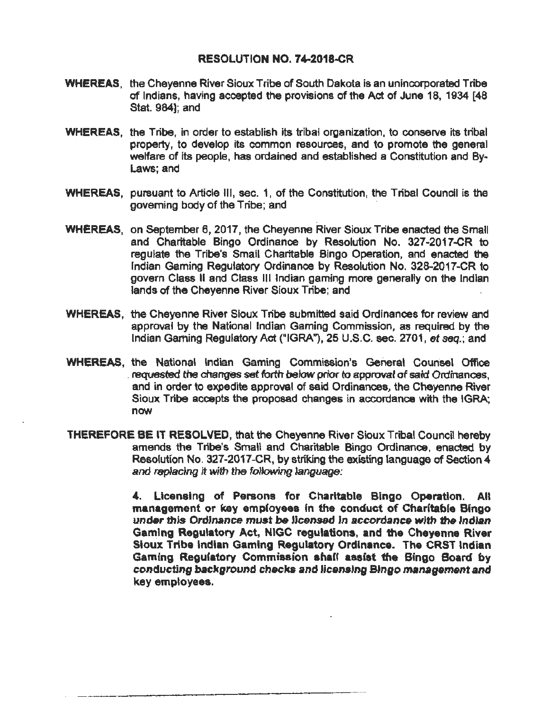### RESOLUTION NO. 74-2018-CR

- WHEREAS, the Cheyenne River Sioux Tribe of South Dakota is an unincorporated Tribe of Indians, having accepted the provisions of the Act of June 18, 1934 [48] Stat. 984]; and
- WHEREAS, the Tribe, in order to establish its tribal organization, to conserve its tribal property, to develop its common resources, and to promote the general welfare of its people, has ordained and established a Constitution and By· Laws; and
- WHEREAS, pursuant to Article Ill, sec. 1, of the Constitution, the Tribal Council is the governing body of the Tribe; and
- WHEREAS, on September 6, 2017, the Cheyenne River Sioux Tribe enacted the Small and Charitable Bingo Ordinance by Resolution No. 327-2017-CR to regulate the Tribe's Small Charitable Bingo Operation, and enacted the lndian Gaming Regulatory Ordinance by Resolution No. 328-2017-CR to govern Class II and Class Ill Indian gaming more generally on the Indian lands of the Cheyenne River Sioux Tribe; and
- WHEREAS, the Cheyenne River Sioux Tribe submitted said Ordinances for review and approval by the National Indian Gaming Commission, as required by the Indian Gaming Regulatory Act (°IGRA"), 25 U.S.C. sec. 2701, *et seq.;* and
- WHEREAS, the Nationa' 'ndian Gaming Commission's General Counsel Office . requested the *changes* set forth below prior to approval of said Ordinances, and in order to expedite approval of said Ordinances, the Cheyenne River Sioux Tribe accepts the proposed changes in accordance with the IGRA; now
- THEREFORE BE IT RESOLVED, that the Cheyenne River Sioux Tribal Council hereby amends the Tribe's Small and Charitable Bingo Ordinance, enacted by Resolution No. 327-2017-CR, by striking the existing language of Section 4 and replacing it with the following language:

4. Licensing of Persons for Charitable Bingo Operation. AH management or key emp(oyees fn the conduct of Charitable Bingo under this Ordinance must be licensed in accordance with the Indian Gaming Regulatory Act, NIGC regulations, and the Cheyenne River Sioux Tribe Indian Gaming Regulatory Ordinance. The CRST Indian Gaming Regulatory Commission shall assist the Bingo Board by conducting background checks and licensing Bingo management and key employees.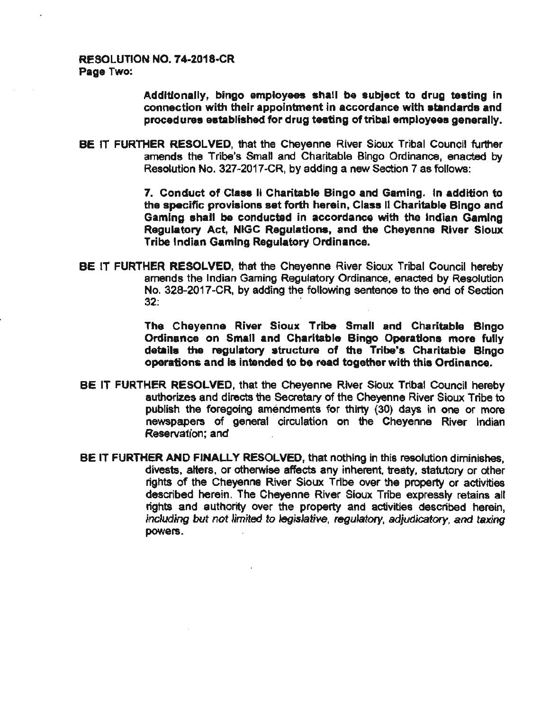### RESOLUTION NO. 74-2018-CR Page Two!

Additionally, bingo employees shall be subject to drug testing in connection with their appointment in accordance with standards and procedures eatablished for drug testing oftriba1 employees generally.

BE IT FURTHER RESOLVED, that the Cheyenne River Sioux Tribal Council further amends the Tribe's Small and Charitable Bingo Ordinance, enacted by Resolution No. 327-2017-CR, by adding a new Section 7 as follows:

> 7. Conduct of Class II Charitable Bingo and Gaming. In addition to the specific provisions set forth herein, Class 11 Charitable Bingo and Gaming shall be conducted in accordance with the Indian Gaming Regulatory Act, NIGC Regulations, and the Cheyenne River Sioux Tribe Indian Gaming Regulatory Ordinance.

BE IT FURTHER RESOLVED, that the Cheyenne River Sioux Tribal Council hereby amends the Indian Gaming Regulatory Ordinance, enacted by Resolution No. 328-2017-CR. by adding the following sentence to the end of Section  $32:$ 

> The Cheyenne River Sioux Tribe Small and Charitable Bingo Ordinance on Small and Charitable Bingo Operations more fully details the regulatory structure of the Tribe's Charitable Bingo operations and is intended to be read together with this Ordinance.

- BE IT FURTHER RESOLVED, that the Cheyenne River Sioux Tribal Council hereby authorizes and directs the Secretary of the Cheyenne River Sioux Tribe to publish the foregoing amendments for thirty (30) days in one or more newspapers of general circulation on the Cheyenne River Indian Reservation; and
- BE IT FURTHER AND FINALLY RESOLVED, that nothing in this resolution diminishes, divests, alters, or otherwise affects any inherent, treaty, statutory or other rights of the Cheyenne River Sioux Tribe over the property or activities described herein. The Cheyenne River Sioux Tribe expressly retains all rights and authority over the property and activities described herein, including but not limited to legislative, regulatory, adjudicatory, and taxing powers.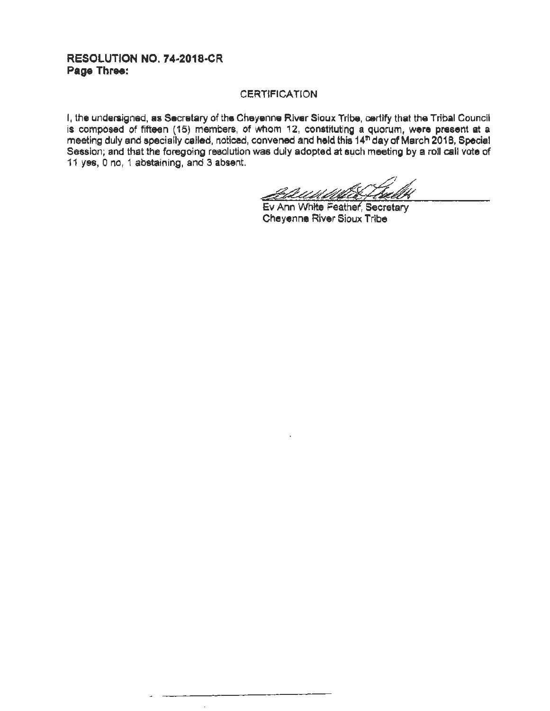### RESOLUTION NO. 7 4-2018-CR Page Three:

### **CERTIFICATION**

I, the undersigned, as Secretary of the Cheyenne River Sioux Tribe, certify that the Tribal Council is composed of fifteen (15) members, of whom 12, constituting a quorum, were present at a meeting duly and specially called, noticed, convened and held this 14<sup>th</sup> day of March 2018, Special Session; and that the foregoing resolution was duly adopted at such meeting by a roll call vote of 11 yes, 0 no, 1 abstaining, and 3 absent.

Ev Ann White Feather, Secretary Cheyenne River Sioux Tribe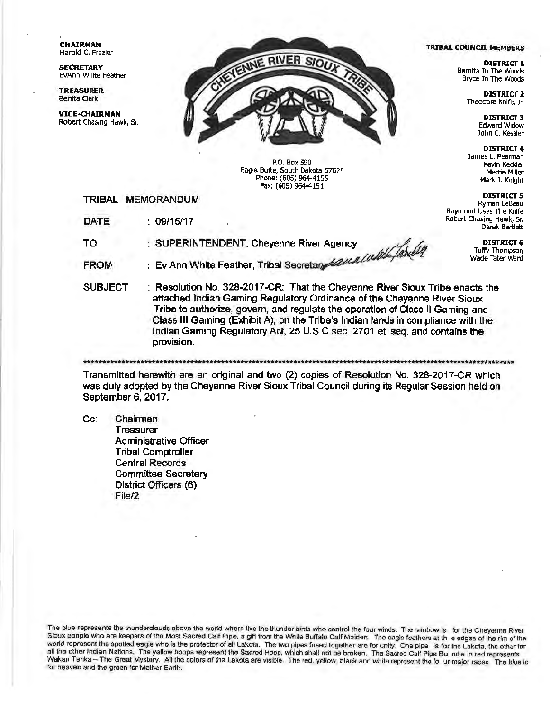CHAIRMAN Harold C. Frazier

**SECRETARY** EvAnn White Feather

**TREASURER** Benita Oark

VICE·CHAIRMAN Robert Chasing Hawk, Sr,



P.O. Box 590 Eagle Butte, South Dakota 57625 Phone: (605) 964·4155 Fax: (605) 964-4151

TRIBAL MEMORANDUM

DATE  $: 09/15/17$ 

TO Raymond Use<br>
O9/15/17<br>
SUPERINTENDENT, Cheyenne River Agency<br>
SUPERINTENDENT, Cheyenne River Agency<br>
SUPERINTENDENT, Cheyenne River Agency<br>
Made Made

FROM Ev Ann White Feather, Tribal Secretary

SUBJECT Resolution No. 328-2017-CR: That the Cheyenne River Sioux Tribe enacts the attached Indian Gaming Regulatory Ordinance of the Cheyenne River Sioux Tribe to authorize, govern, and regulate the operation of Class II Gaming and Class Ill Gaming (Exhibit A), on the Tribe's Indian lands in compliance with the Indian Gaming Regulatory Act, 25 U.S.C sec. 2701 et. seq. and contains the provision.

Transmitted herewith are an original and two (2) copies of Resolution No. 328-2017-CR which was duly adopted by the Cheyenne River Sioux Tribal Council during its Regular Session held on September 6, 2017.

""\*\*\*\*\*•\*\*•'\*\*\*\*• ..... \*\*\*\*\*\*\*\*\*\*\*\*\*\*\*\*\*\*\*\*\*\*\*\*\*\*\*\*\*\*\*\*\*\*\*\*\*\*\*\*\*\*\*\*\*\*•\*\*\*\*\*\*\*\*"'\*\*-,,.\*\*\*\*\*:\*\*\*\*"\*\*\*\*\*\*\*\*\*\*\*\*\*\*\*\*\*\*\*\*\*\*\*\*\*\*•

Cc: Chairman **Treasurer** Administrative Officer Tribal Comptroller Central Records Committee Secretary District Officers (6) File/2

The blue represents the thunderclouds above the world where live the thunder birds who control the four winds. The rainbow is for the Cheyenne River Sioux people who are keepers of the Most Sacred Calf Pipe, a gift from the White Buffalo Calf Maiden. The eagle feathers at th e edges of the rim of the world represent the spotted eagle who is the protector of all Lakota. The two pipes fused together are for unity. One pipe Is for the Lakota, the other for all the other Indian Nations. The yellow hoops represent the Sacred Hoop. which shall not be broken. The Sacred Calf Pipe Bu ndle In red represents Wakan Tanka - The Great Mystery. All the colors of the Lakota are visible. The red, yellow, black and white represent the fo ur major races. The blue is for heaven and the green for Mother Earth.

#### TRIBAL COUNCIL MEMBERS

DISTRICT 1 Bernita In The Woods Bryce In The Woods

> DISTRICT<sub>2</sub> Theodore Knife, Jr.

> > DISTRJCT3 Edward Widow John C. Kessler

DISTRICT 4 James L. Pearman Kevin Keckler Merrie Miller Mark J. Knight

DISTRICT 5 Ryman LeSeau Raymond Uses The Knife Robert Chasing Hawk, Sr. Derek Bartlett

> DISTRICT<sub>6</sub> Tuffy Thompson Wade Tater Ward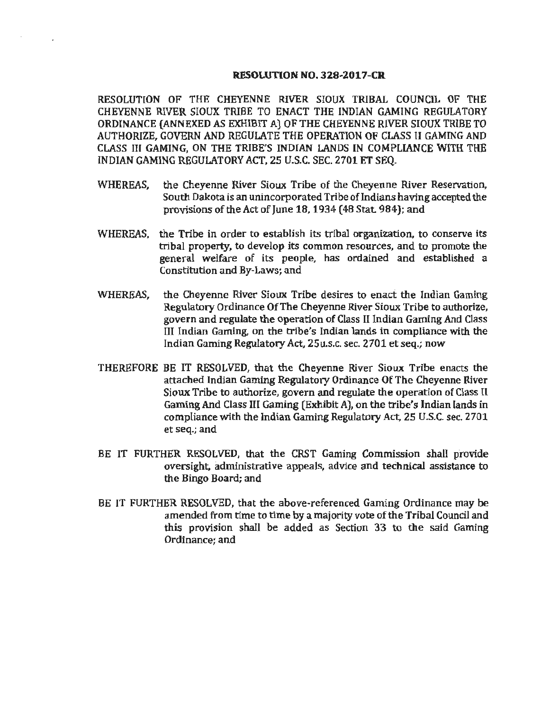#### RESOLUTION NO. 328-2017-CR

RESOLUTION OF THE CHEYENNE RIVER SIOUX TRIBAL COUNCIL OF THE CHEYENNE RIVER SIOUX TRIBE TO ENACT THE INDIAN GAMING REGULATORY ORDINANCE (ANNEXED AS EXHIBIT A) OF THE CHEYENNE RIVER SIOUX TRIBE TO AUTHORIZE, GOVERN AND REGULATE THE OPERATION OF CLASS II GAMING AND CLASS III GAMING, ON THE TRIBE'S INDIAN LANDS IN COMPLIANCE WITH THE INDIAN GAMING REGULATORY ACT, 25 U.S.C. SEC. 2701 ET SEQ.

- WHEREAS, the Cheyenne River Sioux Tribe of the Cheyenne River Reservation, South Dakota is an unincorporated Tribe of Indians having accepted the provisions of the Act of June 18, 1934 ( 48 Stat. 984 ); and
- WHEREAS, the Tribe in order to establish its tribal organization, to conserve its tribal property, to develop its common resources, and to promote the general welfare of its people, has ordained and established a Constitution and By-Laws; and
- WHEREAS, the Cheyenne River Sioux Tribe desires to enact the Indian Gaming Regulatory Ordinance Of The Cheyenne River Sioux Tribe to authorize, govern and regulate the operation of Class II Indian Gaming And Class Ill Indian Gaming. on the tribe's Indian lands in compliance with the Indian Gaming Regulatory Act, 25u.s.c. sec. 2701 et seq.; now
- THEREFORE BE IT RESOLVED, that the Cheyenne River Sioux Tribe enacts the attached Indian Gaming Regulatory Ordinance Of The Cheyenne River Sioux Tribe to authorize, govern and regulate the operation of Class II Gaming And Class III Gaming (Exhibit A), on the tribe's Indian lands in compliance with the Indian Gaming Regulatory Act, 25 U.S.C. sec. 2701 et seq.; and
- BE IT FURTHER RESOLVED, that the CRST Gaming Commission shall provide oversight, administrative appeals, advice and technical assistance to the Bingo Board; and
- BE IT FURTHER RESOLVED, that the above-referenced Gaming Ordinance may be amended from time to time by a majority vote of the Tribal Council and this provision shall be added as Section 33 to the said Gaming Ordinance; and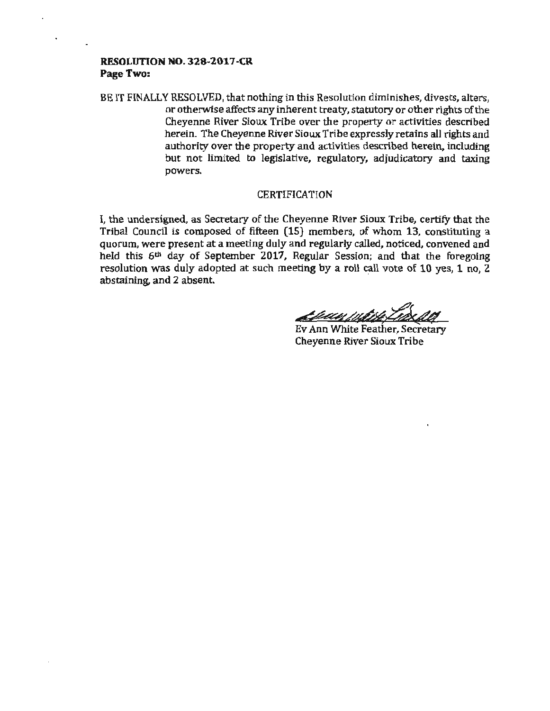#### **RESOLUTION NO. 328-2017-CR Page Two:**

BE IT FINALLY RESOLVED, that nothing in this Resolution diminishes, divests, alters, or otherwise affects any inherent treaty, statutory or other rights of the Cheyenne River Sioux Tribe over the property or activities described herein. The Cheyenne River Sioux Tribe expressly retains all rights and authority over the property and activities described herein, including but not limited to legislative, regulatory, adjudicatory and taxing powers.

#### **CERTIFICATION**

I, the undersigned, as Secretary of the Cheyenne River Sioux Tribe, certify that the Tribal Council is composed of fifteen (15) members, of whom 13, constituting a quorum, were present at a meeting duly and regularly called, noticed, convened and held this 6th day of September 2017, Regular Session; and that the foregoing resolution was duly adopted at such meeting by a roll call vote of 10 yes, 1 no, 2 abstaining, and 2 absent.

<u>a: fuun wirk Fea</u>

Ev Ann White Feather, Secretary Cheyenne River Sioux Tribe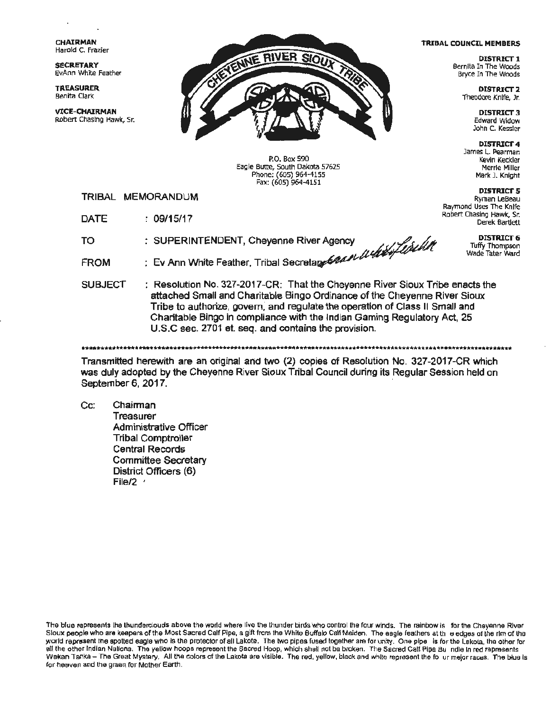CHAIRMAN Harold C. Frazier

**SECRETARY** EvAnn White feather

TREASURER Benita Clark

VICE-CHAIRMAN Robert Chasing Hawk, Sr.



P.O. Box 590 Eagle Butte, South Dakota 57625 Phone; (605) 964-4155 Fax: (605) 964-4151

TRIBAL MEMORANDUM

DATE 09/15/17

TO US/13/17<br>SUPERINTENDENT, Cheyenne River Agency *—————————————* 

FROM Ev Ann White Feather, Tribal Secretary Charles

SUBJECT : Resolution No. 327-2017-CR: That the Cheyenne River Sioux Tribe enacts the attached Small and Charitable Bingo Ordinance of the Cheyenne River Sioux Tribe to authorize, govern; and regulate the operation of Class II Small and Charitable Bingo in compliance with the Indian Gaming Regulatory Act, 25 U.S.C sec. 2701 et. seq. and contains the provision.

\*\*\*\*\*\*\*\*\*\*\*\*\*\*\*\*\*\*\*\*\*\*\*\*\*\*\*\*\*\*\*\*\*\*\*\*\*\*\*\*\*\*\*\*\*\*\*\*\*\*\*\*\*\*\*\*\*\*\*\*\*\*\*\*\*\*\*\*\*\*\*\*\*\*\*\*\*\*\*\*\*\*\*\*\*\*\*\*\*\*\*\*\*\*\*\*\*\*\*\*\*\*\*\*\*\*\*\*\*\*\*\*\*

Transmitted herewith are an original and two (2) copies of Resolution No. 327-2017-CR which was duly adopted by the Cheyenne River Sioux Tribal Council during its Regular Session held on September 6, 2017.

Cc: Chairman **Treasurer** Administrative Officer Tribal Comptroller Central Records Committee Secretary District Officers (6) File/2 $\cdot$ 



TRIBAL COUNCIL MEMBERS

# DISTRICT 1

Bernita In The Woods Bryce In The Woods

> DISTRICT<sub>2</sub> Theodore Knife, Jr.

> > DISTRICT<sub>3</sub> Edward Widow John C. Kessler

DISTRICT 4 James L. Pearman Kevin Keckler Merrie Miller Mark J. Knight

DISTRICT 5 Ryman LeBeau Raymond Uses The Knife Robert Chasing Hawk, Sr. Derek Bartlett

> DISTRICT 6 Tuffy Thompson Wade Tater Ward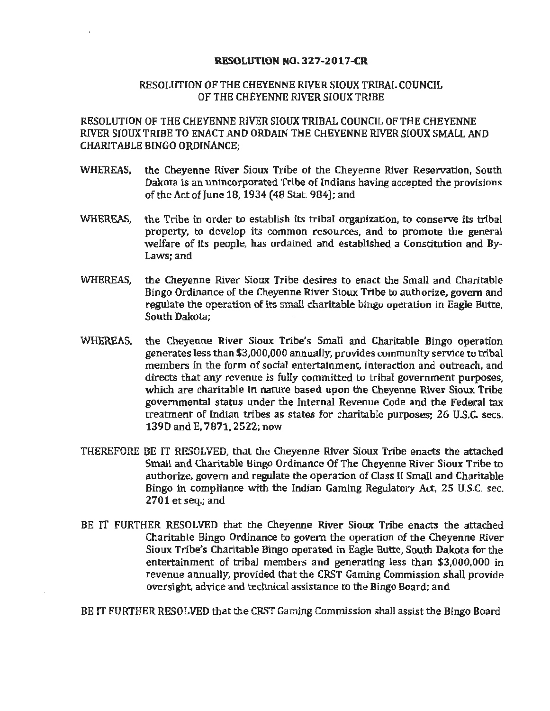#### RESOLUTION NO. 327-2017-CR

#### RESOLUTION OF THE CHEYENNE RIVER SIOUX TRIBAL COUNCIL OF THE CHEYENNE RIVER SIOUX TRIBE

RESOLUTION OF THE CHEYENNE RIVER SIOUX TRIBAL COUNCIL OF THE CHEYENNE RIVER SIOUX TRIBE TO ENACT AND ORDAIN THE CHEYENNE RIVER SIOUX SMALL AND CHARITABLE BINGO ORDINANCE;

- WHEREAS, the Cheyenne River Sioux Tribe of the Cheyenne River Reservation, South Dakota is an unincorporated Tribe of Indians having accepted the provisions of the Act of June 18, 1934 (48 Stat. 984); and
- WHEREAS, the Tribe in order to establish its tribal organization, to conserve its tribal property, to develop its common resources, and to promote the general welfare of its people, has ordained and established a Constitution and By-Laws; and
- WHEREAS, the Cheyenne River Sioux Tribe desires to enact the Small and Charitable Bingo Ordinance of the Cheyenne River Sioux Tribe to authorize, govern and regulate the operation of its small charitable bingo operation in Eagie Butte, South Dakota;
- WHEREAS, the Cheyenne River Sioux Tribe's Small and Charitable Bingo operation generates less than \$3,000,000 annually, provides community service to tribal members in the form of social entertainment, interaction and outreach, and directs that any revenue is fully committed to tribal government purposes, which are charitable in nature based upon the Cheyenne River Sioux Tribe governmental status under the Internal Revenue Code and the Federal tax treatment of Indian tribes as states for charitable purposes; 26 U.S.C. secs. 1390 and E, 7871, 2522; now
- THEREFORE BE IT RESOLVED, that the Cheyenne River Sioux Tribe enacts the attached Small and Charitable Bingo Ordinance Of The Cheyenne River Sioux Tribe to authorize, govern and regulate the operation of Class II Small and Charitable Bingo in compliance with the Indian Gaming Regulatory Act, 25 U.S.C. sec. 2701 et seq.; and
- BE IT FURTHER RESOLVED that the Cheyenne River Sioux Tribe enacts the attached Charitable Bingo Ordinance to govern the operation of the Cheyenne River Sioux Tribe's Charitable Bingo operated in Eagle Butte; South Dakota for the entertainment of tribal members and generating less than \$3,000,000 in revenue annually, provided that the CRST Gaming Commission shall provide oversight, advice and technical assistance to the Bingo Board; and

BE IT FURTHER RESOLVED that the CRST Gaming Commission shall assist the Bingo Board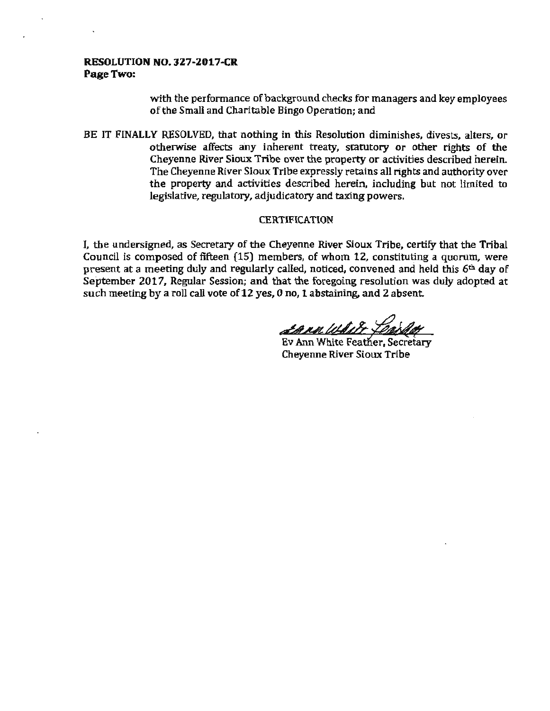#### RESOLUTION NO. 327·2017·CR Page Two:

with the performance of background checks for managers and key employees of the Small and Charitable Bingo Operation; and

BE IT FINALLY RESOLVED, that nothing in this Resolution diminishes, divests, alters, or otherwise affects any inherent treaty, statutory or other rights of the Cheyenne River Sioux Tribe over the property or activities described herein. The Cheyenne River Sioux Tribe expressly retains all rights and authority over the property and activities described herein, including but not limited to legislative, regulatory, adjudicatory and taxing powers.

#### CERTIFICATION

I, the undersigned, as Secretary of the Cheyenne River Sioux Tribe, certify that the Tribal Council is composed of fifteen (15) members, of whom 12, constituting a quorum, were present at a meeting duly and regularly called, noticed, convened and held this 6th day of September 2017, Regular Session; and that the foregoing resolution was duly adopted at such meeting by a roll call vote of 12 yes, 0 no, 1 abstaining, and 2 absent.

*<u>\*\*\*\* White Toolder</u>* 

Cheyenne River Sioux Tribe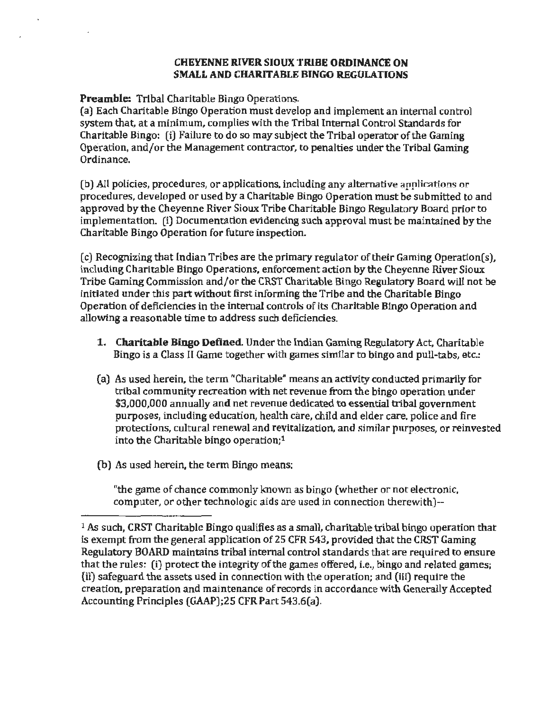#### CHEYENNE RIVER SIOUX TRIBE ORDINANCE ON SMALL AND CHARITABLE BINGO REGULATIONS

Preamble: Tribal Charitable Bingo Operations.

(a) Each Charitable Bingo Operation must develop and implement an internal control system that, at a minimum, complies with the Tribal Internal Control Standards for Charitable Bingo: ( i) Failure to do so may subject the Tribal operator of the Gaming Operation, and/or the Management contractor, to penalties under the Tribal Gaming Ordinance.

(b) All policies, procedures, or applications, including any alternative applications or procedures, developed or used by a Charitable Bingo Operation must be submitted to and approved by the Cheyenne River Sioux Tribe Charitable Bingo Regulatory Board prior to implementation. (i) Documentation evidencing such approval must be maintained by the Charitable Bingo Operation for future inspection.

(c) Recognizing that Indian Tribes are the primary regulator of their Gaming Operation(s), including Charitable Bingo Operations, enforcement action by the Cheyenne River Sioux Tribe Gaming Commission and/or the CRST Charitable Bingo Regulatory Board will not be initiated under this part without first informing the Tribe and the Charitable Bingo Operation of deficiencies in the internal controls of its Charitable Bingo Operation and allowing a reasonable time to address such deficiencies.

- 1. Charitable Bingo Defined. Under the Indian Gaming Regulatory Act, Charitable Bingo is a Class II Game together with games similar to bingo and pull-tabs, etc.:
- (a) *As* used herein, the term "Charitable" means an activity conducted primarily for tribal community recreation with net revenue from the bingo operation under \$3,000,000 annually and net revenue dedicated to essential tribal government purposes, including education, health care, child and elder care, police and fire protections, cultural renewal and revitalization, and similar purposes, or reinvested into the Charitable bingo operation;<sup>1</sup>
- (b) As used herein, the term Bingo means:

"the game of chance commonly known as bingo (whether or not electronic, computer, or other technologic aids are used in connection therewith)--

 $1$  As such, CRST Charitable Bingo qualifies as a small, charitable tribal bingo operation that is exempt from the general application of 25 CFR 543. provided that the CRST Gaming Regulatory BOARD maintains tribal internal control standards that are required to ensure that the rules: (i) protect the integrity of the games offered, i.e., bingo and related games; (ii) safeguard the assets used in connection with the operation; and (iii) require the creation, preparation and maintenance of records in accordance with Generally Accepted Accounting Principles (GAAP);25 CFR Part 543.6(a).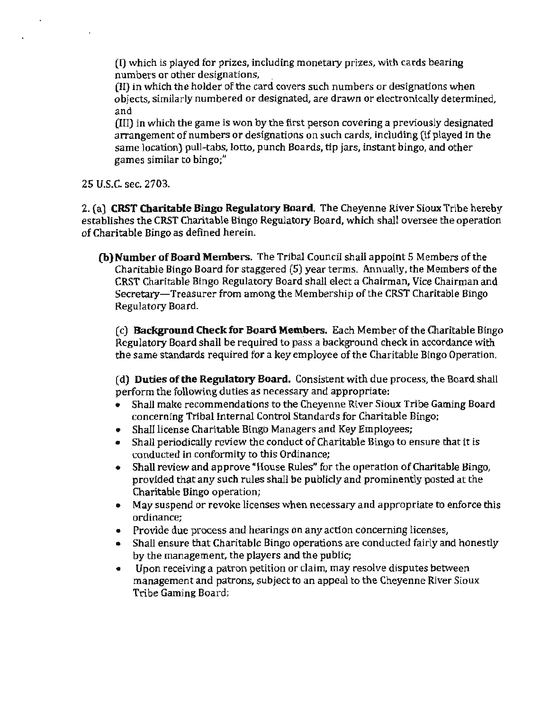(I) which is played for prizes, including monetary prizes, with cards bearing numbers or other designations, .

(II) in which the holder of the card covers such numbers or designations when objects, similarly numbered or designated, are drawn or electronically determined, and

(III) in which the game is won by the first person covering a previously designated arrangement of numbers or designations on such cards, including (if played in the same location) pull-tabs, lotto, punch Boards, tip jars, instant bingo, and other games similar to bingo;"

25 U.S.C. sec. 2703.

2. (a) **CRST Charitable Bingo Regulatory Board.** The Cheyenne River Sioux Tribe hereby establishes the CRST Charitable Bingo Regulatory Board, which shall oversee the operation of Charitable Bingo as defined herein.

**(b) Number of Board Members.** The Tribal Council shall appoint 5 Members of the Charitable Bingo Board for staggered (5) year terms. Annually, the Members of the CRST Charitable Bingo Regulatory Board shall elect a Chairman, Vice Chairman and Secretary-Treasurer from among the Membership of the CRST Charitable Bingo Regulatory Board.

(c) **Background Check for Board Members.** Each Member of the Charitable Bingo Regulatory Board shall be required to pass a background check in accordance with the same standards required for a key employee of the Charitable Bingo Operation.

( d) **Duties of the Regulatory Board.** Consistent with due process, the Board shall perform the following duties as necessary and appropriate:

- Shall make recommendations to the Cheyenne River Sioux Tribe Gaming Board concerning Tribal Internal Control Standards for Charitable Bingo;
- Shall license Charitable Bingo Managers and Key Employees;
- Shall periodically review the conduct of Charitable Bingo to ensure that it is conducted in conformity to this Ordinance;
- Shall review and approve "House Rules" for the operation of Charitable Bingo, provided that any such rules shall be publicly and prominently posted at the Charitable Bingo operation;
- May suspend or revoke licenses when necessary and appropriate to enforce this ordinance;
- Provide due process and hearings on any action concerning licenses,
- Shall ensure that Charitable Bingo operations are conducted fairly and honestly by the management, the players and the public;
- Upon receiving a patron petition or claim, may resolve disputes betvveen management and patrons, subject to an appeal to the Cheyenne River Sioux Tribe Gaming Board;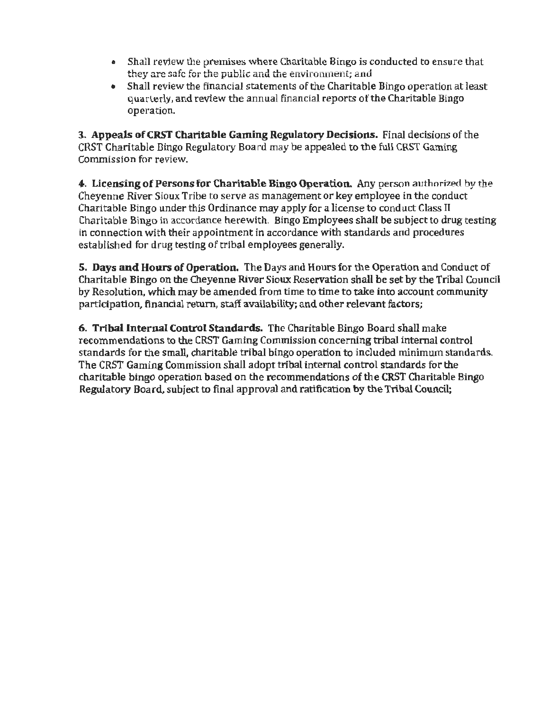- Shall review the premises where Charitable Bingo is conducted to ensure that they are safe for the public and the environment; and
- Shall review the financial statements of the Charitable Bingo operation at least quarterly, and review the annual financial reports of the Charitable Bingo operation.

3. Appeals of CRST Charitable Gaming Regulatory Decisions. Final decisions of the CRST Charitable Bingo Regulatory Board may be appealed to the full CRST Gaming Commission for review.

4. Licensing of Persons for Charitable Bingo Operation. Any person authorized by the Cheyenne River Sioux Tribe to serve as management or key employee in the conduct Charitable Bingo under this Ordinance may apply for a license to conduct Class JI Charitable Bingo in accordance herewith. Bingo Employees shall be subject to drug testing in connection with their appointment in accordance with standards and procedures established for drug testing of tribal employees generally.

5. Days and Hours of Operation. The Days and Hours for the Operation and Conduct of Charitable Bingo on the Cheyenne River Sioux Reservation shall be set by the Tribal Council by Resolution, which may be amended from time to time to take into account community participation, financial return, staff availability; and other relevant factors;

6. Tribal Internal Control Standards. The Charitable Bingo Board shall make recommendations to the CRST Gaming Commission concerning tribal internal control standards for the small, charitable tribal bingo operation to included minimum standards. The CRST Gaming Commission shall adopt tribal internal control standards for the charitable bingo operation based on the recommendations of the CRST Charitable Bingo Regulatory Board, subject to final approval and ratification by the Tribal Council;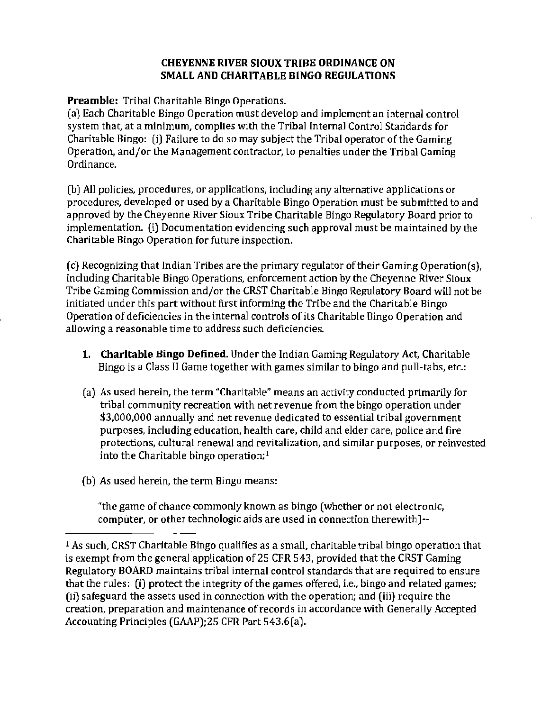# **CHEYENNE RIVER SIOUX TRIBE ORDINANCE ON SMALL AND CHARITABLE BINGO REGULATIONS**

**Preamble:** Tribal Charitable Bingo Operations.

(a) Each Charitable Bingo Operation must develop and implement an internal control system that, at a minimum, complies with the Tribal Internal Control Standards for Charitable Bingo: (i) Failure to do so may subject the Tribal operator of the Gaming Operation, and/or the Management contractor, to penalties under the Tribal Gaming Ordinance.

(b) All policies, procedures, or applications, including any alternative applications or procedures, developed or used by a Charitable Bingo Operation must be submitted to and approved by the Cheyenne River Sioux Tribe Charitable Bingo Regulatory Board prior to implementation. (i) Documentation evidencing such approval must be maintained by the Charitable Bingo Operation for future inspection.

(c) Recognizing that Indian Tribes are the primary regulator of their Gaming Operation(s), including Charitable Bingo Operations, enforcement action by the Cheyenne River Sioux Tribe Gaming Commission and/or the CRST Charitable Bingo Regulatory Board will not be initiated under this part without first informing the Tribe and the Charitable Bingo Operation of deficiencies in the internal controls of its Charitable Bingo Operation and allowing a reasonable time to address such deficiencies.

- **1. Charitable Bingo Defined.** Under the Indian Gaming Regulatory Act, Charitable Bingo is a Class II Game together with games similar to bingo and pull-tabs, etc.:
- (a) As used herein, the term "Charitable" means an activity conducted primarily for tribal community recreation with net revenue from the bingo operation under \$3,000,000 annually and net revenue dedicated to essential tribal government purposes, including education, health care, child and elder care, police and fire protections, cultural renewal and revitalization, and similar purposes, or reinvested into the Charitable bingo operation;<sup>1</sup>
- (b) As used herein, the term Bingo means:

"the game of chance commonly known as bingo (whether or not electronic, computer, or other technologic aids are used in connection therewith)--

 $<sup>1</sup>$  As such, CRST Charitable Bingo qualifies as a small, charitable tribal bingo operation that</sup> is exempt from the general application of 25 CFR 543, provided that the CRST Gaming Regulatory BOARD maintains tribal internal control standards that are required to ensure that the rules: (i) protect the integrity of the games offered, i.e., bingo and related games; (ii) safeguard the assets used in connection with the operation; and (iii) require the creation, preparation and maintenance of records in accordance with Generally Accepted Accounting Principles (GAAP);25 CFR Part 543.6(a).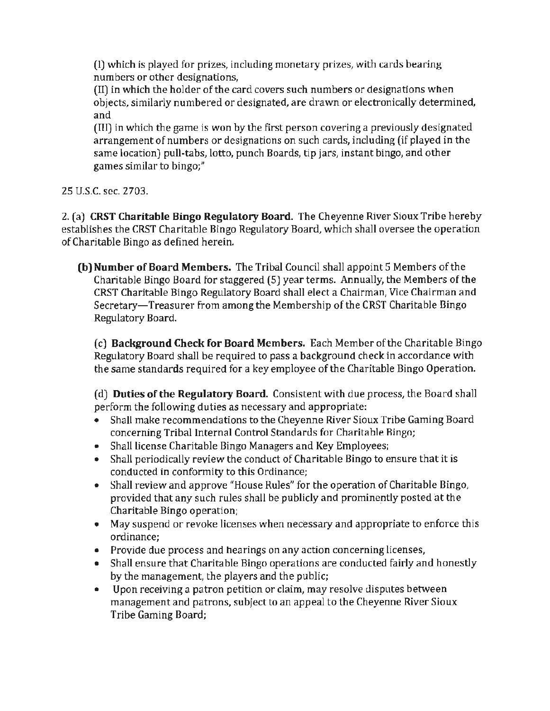$(1)$  which is played for prizes, including monetary prizes, with cards bearing numbers or other designations,

(II) in which the holder of the card covers such numbers or designations when objects, similarly numbered or designated, are drawn or electronically determined, and

(III) in which the game is won by the first person covering a previously designated arrangement of numbers or designations on such cards, including (if played in the same location) pull-tabs, lotto, punch Boards, tip jars, instant bingo, and other games similar to bingo;"

25 U.S.C. sec. 2703.

2. (a) CRST Charitable Bingo Regulatory Board. The Cheyenne River Sioux Tribe hereby establishes the CRST Charitable Bingo Regulatory Board, which shall oversee the operation of Charitable Bingo as defined herein.

(b)Number of Board Members. The Tribal Council shall appoint 5 Members of the Charitable Bingo Board for staggered (5) year terms. Annually, the Members of the CRST Charitable Bingo Regulatory Board shall elect a Chairman, Vice Chairman and Secretary—Treasurer from among the Membership of the CRST Charitable Bingo Regulatory Board.

(c) Background Check for Board Members. Each Member of the Charitable Bingo Regulatory Board shall be required to pass a background check in accordance with the same standards required for a key employee of the Charitable Bingo Operation.

(d) Duties of the Regulatory Board. Consistent with due process, the Board shall perform the following duties as necessary and appropriate:

- Shall make recommendations to the Cheyenne River Sioux Tribe Gaming Board concerning Tribal Internal Control Standards for Charitable Rineo;
- Shall license Charitable Bingo Managers and Key Employees:
- Shall periodically review the conduct of Charitable Bingo to ensure that it is conducted in conformity to this Ordinance;
- Shall review and approve "House Rules" for the operation of Charitable Bingo, provided that any such rules shall be publicly and prominently posted at the Charitable Bingo operation;
- May suspend or revoke licenses when necessary and appropriate to enforce this ordinance;
- Provide due process and hearings on any action concerning licenses,
- Shall ensure that Charitable Bingo operations are conducted fairly and honestly by the management, the players and the public;
- Upon receiving a patron petition or claim, may resolve disputes between management and patrons, subject to an appeal to the Cheyenne River Sioux Tribe Gaming Board;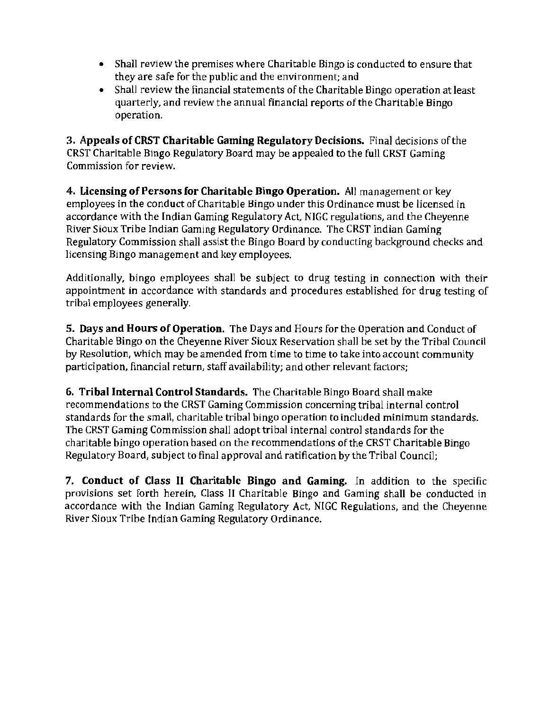- Shall review the premises where Charitable Bingo is conducted to ensure that they are safe for the public and the environment; and
- Shall review the financial statements of the Charitable Bingo operation at least quarterly, and review the annual financial reports of the Charitable Bingo operation.

3. Appeals of CRST Charitable Gaming Regulatory Decisions. Final decisions of the CRST Charitable Bingo Regulatory Board may be appealed to the full CRST Gaming Commission for review.

4. Licensing of Persons for Charitable Bingo Operation. All management or key employees in the conduct of Charitable Bingo under this Ordinance must be licensed in accordance with the Indian Gaming Regulatory Act, NIGC regulations, and the Cheyenne River Sioux Tribe Indian Gaming Regulatory Ordinance. The CRST Indian Gaming Regulatory Commission shall assist the Bingo Board by conducting background checks and licensing Bingo management and key employees.

Additionally, bingo employees shall be subject to drug testing in connection with their appointment in accordance with standards and procedures established for drug testing of tribal employees generally.

5. Days and Hours of Operation. The Days and Hours for the Operation and Conduct of Charitable Bingo on the Cheyenne River Sioux Reservation shall be set by the Tribal Council by Resolution, which may be amended from time to time to take into account community participation, financial return, staff availability; and other relevant factors;

6. Tribal Internal Control Standards. The Charitable Bingo Board shall make recommendations to the CRST Gaming Commission concerning tribal internal control standards for the small, charitable tribal bingo operation to included minimum standards. The CRST Gaming Commission shall adopt tribal internal control standards for the charitable bingo operation based on the recommendations of the CRST Charitable Bingo Regulatory Board, subject to final approval and ratification by the Tribal Council;

7. Conduct of Class II Charitable Bingo and Gaming. In addition to the specific provisions set forth herein, Class II Charitable Bingo and Gaming shall be conducted in accordance with the Indian Gaming Regulatory Act, NIGC Regulations, and the Cheyenne River Sioux Tribe Indian Gaming Regulatory Ordinance.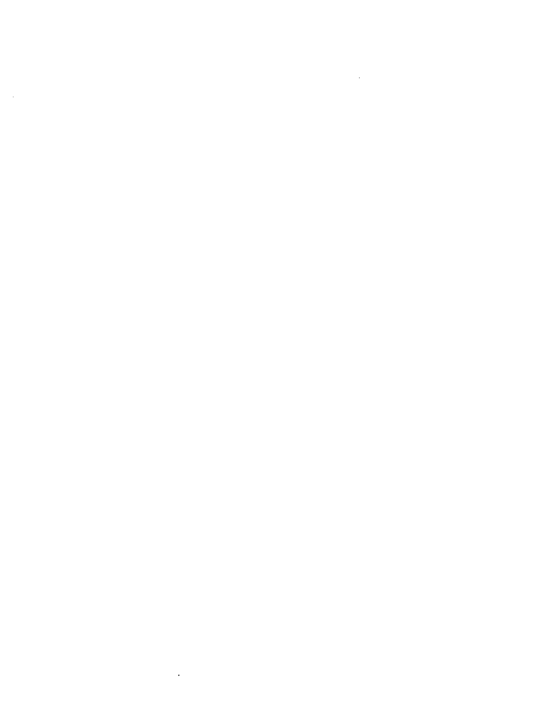$\label{eq:2.1} \frac{1}{\sqrt{2}}\int_{0}^{\infty}\frac{1}{\sqrt{2\pi}}\left(\frac{1}{\sqrt{2\pi}}\right)^{2}d\mu\left(\frac{1}{\sqrt{2\pi}}\right)\frac{d\mu}{d\mu}d\mu\left(\frac{1}{\sqrt{2\pi}}\right).$ 

 $\label{eq:2.1} \frac{1}{\sqrt{2}}\sum_{i=1}^n\frac{1}{\sqrt{2}}\sum_{i=1}^n\frac{1}{\sqrt{2}}\sum_{i=1}^n\frac{1}{\sqrt{2}}\sum_{i=1}^n\frac{1}{\sqrt{2}}\sum_{i=1}^n\frac{1}{\sqrt{2}}\sum_{i=1}^n\frac{1}{\sqrt{2}}\sum_{i=1}^n\frac{1}{\sqrt{2}}\sum_{i=1}^n\frac{1}{\sqrt{2}}\sum_{i=1}^n\frac{1}{\sqrt{2}}\sum_{i=1}^n\frac{1}{\sqrt{2}}\sum_{i=1}^n\frac$ 

 $\mathcal{L}(\mathcal{L}^{\text{max}})$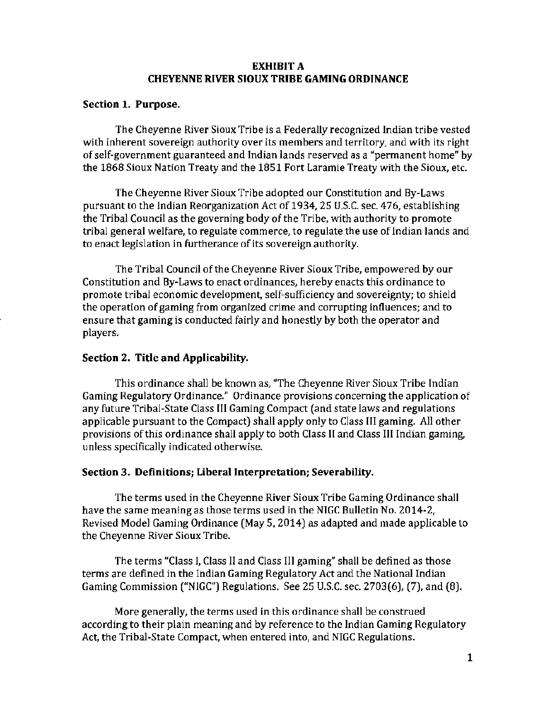### **EXHIBIT A CHEYENNE RIVER SIOUX TRIBE GAMING ORDINANCE**

### **Section 1. Purpose.**

The Cheyenne River Sioux Tribe is a Federally recognized Indian tribe vested with inherent sovereign authority over its members and territory, and with its right of self-government guaranteed and Indian lands reserved as a "permanent home" by the 1868 Sioux Nation Treaty and the 1851 Fort Laramie Treaty with the Sioux, etc.

The Cheyenne River Sioux Tribe adopted our Constitution and By-Laws pursuant to the Indian Reorganization Act of 1934, 25 U.S.C. sec. 4 76, establishing the Tribal Council as the governing body of the Tribe, with authority to promote tribal general welfare, to regulate commerce, to regulate the use of Indian lands and to enact legislation in furtherance of its sovereign authority.

The Tribal Council of the Cheyenne River Sioux Tribe, empowered by our Constitution and By-Laws to enact ordinances, hereby enacts this ordinance to promote tribal economic development, self-sufficiency and sovereignty; to shield the operation of gaming from organized crime and corrupting influences; and to ensure that gaming is conducted fairly and honestly by both the operator and players.

## **Section 2. Title and Applicability.**

This ordinance shall be known as, "The Cheyenne River Sioux Tribe Indian Gaming Regulatory Ordinance." Ordinance provisions concerning the application of any future Tribal-State Class III Gaming Compact (and state laws and regulations applicable pursuant to the Compact) shall apply only to Class III gaming. All other provisions of this ordinance shall apply to both Class II and Class III Indian gaming, unless specifically indicated otherwise.

## **Section 3. Definitions; Liberal Interpretation; Severability.**

The terms used in the Cheyenne River Sioux Tribe Gaming Ordinance shall have the same meaning as those terms used in the NIGC Bulletin No. 2014-2, Revised Model Gaming Ordinance (May 5, 2014) as adapted and made applicable to the Cheyenne River Sioux Tribe.

The terms "Class I, Class II and Class III gaming" shall be defined as those terms are defined in the Indian Gaming Regulatory Act and the National Indian Gaming Commission ("NIGC") Regulations. See 25 U.S.C. sec. 2703(6), (7), and (8).

More generally, the terms used in this ordinance shall be construed according to their plain meaning and by reference to the Indian Gaming Regulatory Act, the Tribal-State Compact, when entered into, and NIGC Regulations.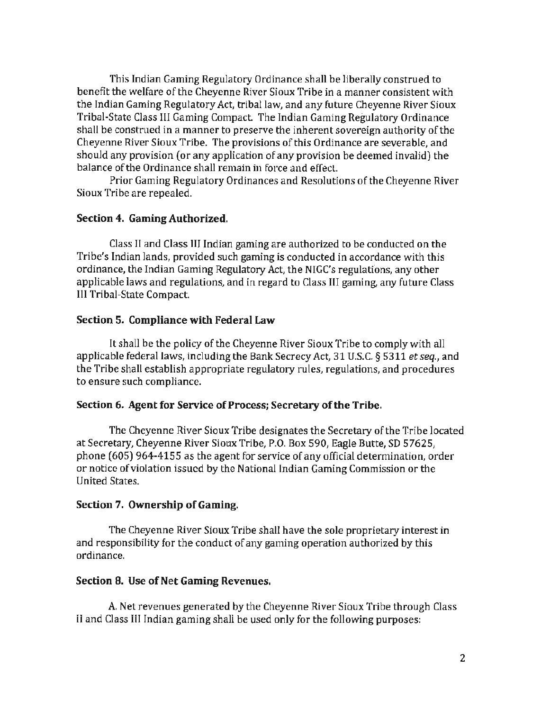This Indian Gaming Regulatory Ordinance shall be liberally construed to benefit the welfare of the Cheyenne River Sioux Tribe in a manner consistent with the Indian Gaming Regulatory Act, tribal law, and any future Cheyenne River Sioux Tribal-State Class III Gaming Compact. The Indian Gaming Regulatory Ordinance shall be construed in a manner to preserve the inherent sovereign authority of the Cheyenne River Sioux Tribe. The provisions of this Ordinance are severable, and should any provision (or any application of any provision be deemed invalid) the balance of the Ordinance shall remain in force and effect.

Prior Gaming Regulatory Ordinances and Resolutions of the Cheyenne River Sioux Tribe are repealed.

### Section 4. Gaming Authorized.

Class JI and Class III Indian gaming are authorized to be conducted on the Tribe's Indian lands, provided such gaming is conducted in accordance with this ordinance, the Indian Gaming Regulatory Act, the NIGC's regulations, any other applicable laws and regulations, and in regard to Class III gaming, any future Class III Tribal-State Compact.

#### Section 5. Compliance with Federal Law

It shall be the policy of the Cheyenne River Sioux Tribe to comply with all applicable federal laws, including the Bank Secrecy Act, 31 U.S.C. § 5311 *et seq.,* and the Tribe shall establish appropriate regulatory rules, regulations, and procedures to ensure such compliance.

#### Section 6. Agent for Service of Process; Secretary of the Tribe.

The Cheyenne River Sioux Tribe designates the Secretary of the Tribe located at Secretary, Cheyenne River Sioux Tribe, P.O. Box 590, Eagle Butte, SD 57625, phone (605) 964-4155 as the agent for service of any official determination, order or notice of violation issued by the National Indian Gaming Commission or the United States.

#### Section 7. Ownership of Gaming.

The Cheyenne River Sioux Tribe shall have the sole proprietary interest in and responsibility for the conduct of any gaming operation authorized by this ordinance.

#### Section 8. Use of Net Gaming Revenues.

A Net revenues generated by the Cheyenne River Sioux Tribe through Class ii and Class III Indian gaming shali be used only for the following purposes: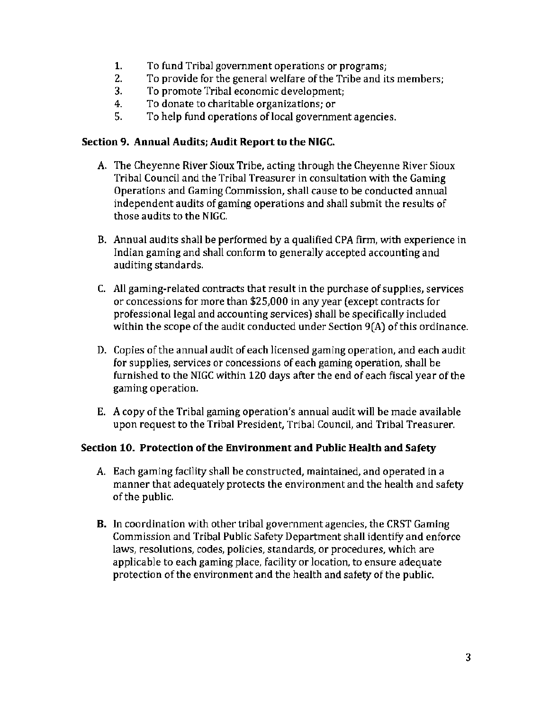- 1. To fund Tribal government operations or programs;
- 2. To provide for the general welfare of the Tribe and its members;
- 3. To promote Tribal economic development;
- 4. To donate to charitable organizations; or<br>5. To help fund operations of local government
- 5. To help fund operations of local government agencies.

# Section 9. Annual Audits; Audit Report to the NIGC.

- A. The Cheyenne River Sioux Tribe, acting through the Cheyenne River Sioux Tribal Council and the Tribal Treasurer in consultation with the Gaming Operations and Gaming Commission, shall cause to be conducted annual independent audits of gaming operations and shall submit the results of those audits to the NIGC.
- B. Annual audits shall be performed by a qualified CPA firm, with experience in Indian gaming and shall conform to generally accepted accounting and auditing standards.
- C. All gaming-related contracts that result in the purchase of supplies, services or concessions for more than \$25,000 in any year (except contracts for professional legal and accounting services) shall be specifically included within the scope of the audit conducted under Section 9(A) of this ordinance.
- D. Copies of the annual audit of each licensed gaming operation, and each audit for supplies, services or concessions of each gaming operation, shall be furnished to the NIGC within 120 days after the end of each fiscal year of the gaming operation.
- E. A copy of the Tribal gaming operation's annual audit will be made available upon request to the Tribal President, Tribal Council, and Tribal Treasurer.

## Section 10. Protection of the Environment and Public Health and Safety

- A. Each gaming facility shall be constructed, maintained, and operated in a manner that adequately protects the environment and the health and safety of the public.
- B. In coordination with other tribal government agencies, the CRST Gaming Commission and Tribal Public Safety Department shall identify and enforce laws, resolutions, codes, policies, standards, or procedures, which are applicable to each gaming place, facility or location, to ensure adequate protection of the environment and the health and safety of the public.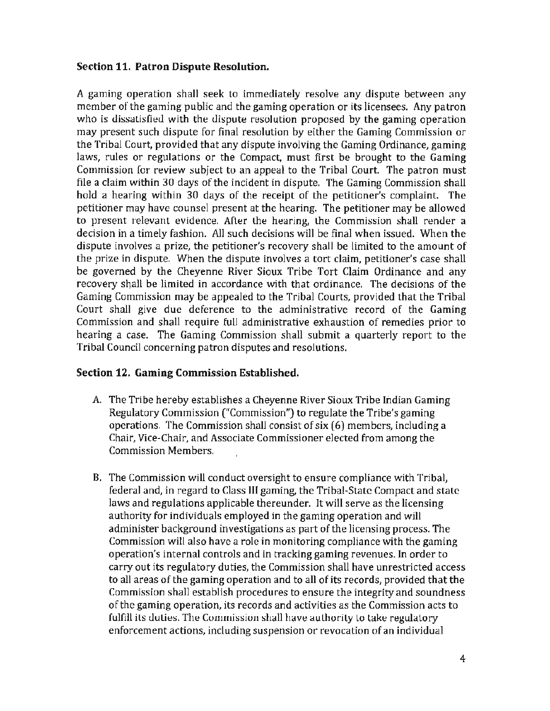### Section 11. Patron Dispute Resolution.

A gaming operation shall seek to immediately resolve any dispute between any member of the gaming public and the gaming operation or its licensees. Any patron who is dissatisfied with the dispute resolution proposed by the gaming operation may present such dispute for final resolution by either the Gaming Commission or the Tribal Court, provided that any dispute involving the Gaming Ordinance, gaming laws, rules or regulations or the Compact, must first be brought to the Gaming Commission for review subject to an appeal to the Tribal Court. The patron must file a claim within 30 days of the incident in dispute. The Gaming Commission shall hold a hearing within 30 days of the receipt of the petitioner's complaint. The petitioner may have counsel present at the hearing. The petitioner may be allowed to present relevant evidence. After the hearing, lhe Commission shall render a decision in a timely fashion. All such decisions will be final when issued. When the dispute involves a prize, the petitioner's recovery shall be limited to the amount of the prize in dispute. When the dispute involves a tort claim, petitioner's case shall' be governed by the Cheyenne River Sioux Tribe Tort Claim Ordinance and any recovery shall be limited in accordance with that ordinance. The decisions of the Gaming Commission may be appealed to the Tribal Courts, provided that the Tribal Court shall give due deference to the administrative record of the Gaming Commission and shall require full administrative exhaustion of remedies prior to hearing a case. The Gaming Commission shall submit a quarterly report to the Tribal Council concerning patron disputes and resolutions.

## Section 12. Gaming Commission Established.

- A. The Tribe hereby establishes a Cheyenne River Sioux Tribe Indian Gaming Regulatory Commission ("Commission") to regulate the Tribe's gaming operations. The Commission shall consist of six (6) members, including a Chair, Vice-Chair, and Associate Commissioner elected from among the Commission Members.
- B. The Commission will conduct oversight to ensure compliance with Tribal, federal and, in regard to Class Ill gaming, the Tribal-State Compact and state laws and regulations applicable thereunder. It will serve as the licensing authority for individuals employed in the gaming operation and will administer background investigations as part of the licensing process. The Commission will also have a role in monitoring compliance with the gaming operation's internal controls and in tracking gaming revenues. In order to carry out its regulatory duties, the Commission shall have unrestricted access to all areas of the gaming operation and to all of its records, provided that the Commission shall establish procedures to ensure the integrity and soundness of the gaming operation, its records and activities as the Commission acts to fulfill its duties. The Commission shall have authority to take regulatory enforcement actions, including suspension or revocation of an individual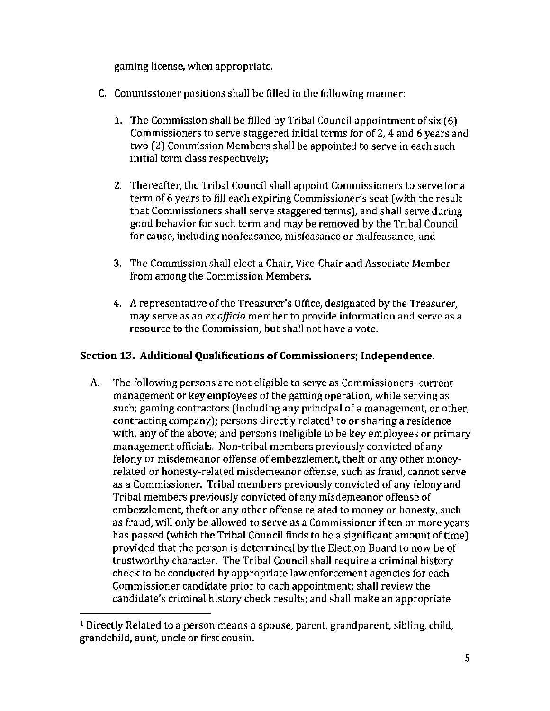gaming license, when appropriate.

- C. Commissioner positions shall be filled in the following manner:
	- 1. The Commission shall be filled by Tribal Council appointment of six (6) Commissioners to serve staggered initial terms for of 2, 4 and 6 years and two (2) Commission Members shall be appointed to serve in each such initial term class respectively;
	- 2. Thereafter, the Tribal Council shall appoint Commissioners to serve for a term of 6 years to fill each expiring Commissioner's seat (with the result that Commissioners shall serve staggered terms), and shall serve during good behavior for such term and may be removed by the Tribal Council for cause, including nonfeasance, misfeasance or malfeasance; and
	- 3. The Commission shall elect a Chair, Vice-Chair and Associate Member from among the Commission Members.
	- 4. A representative of the Treasurer's Office, designated by the Treasurer, may serve as an *ex officio* member to provide information and serve as a resource to the Commission, but shall not have a vote.

# **Section 13. Additional Qualifications of Commissioners; Independence.**

A. The following persons are not eligible to serve as Commissioners: current management or key employees of the gaming operation, while serving as such; gaming contractors (including any principal of a management, or other, contracting company); persons directly related<sup>1</sup> to or sharing a residence with, any of the above; and persons ineligible to be key employees or primary management officials. Non-tribal members previously convicted of any felony or misdemeanor offense of embezzlement, theft or any other moneyrelated or honesty-related misdemeanor offense, such as fraud, cannot serve as a Commissioner. Tribal members previously convicted of any felony and Tribal members previously convicted of any misdemeanor offense of embezzlement, theft or any other offense related to money or honesty, such as fraud, will only be allowed to serve as a Commissioner if ten or more years has passed (which the Tribal Council finds to be a significant amount of time) provided that the person is determined by the Election Board to now be of trustworthy character. The Tribal Council shall require a criminal history check to be conducted by appropriate law enforcement agencies for each Commissioner candidate prior to each appointment; shall review the candidate's criminal history check results; and shall make an appropriate

<sup>1</sup>Directly Related to a person means a spouse, parent, grandparent, sibling, child, grandchild, aunt, uncle or first cousin.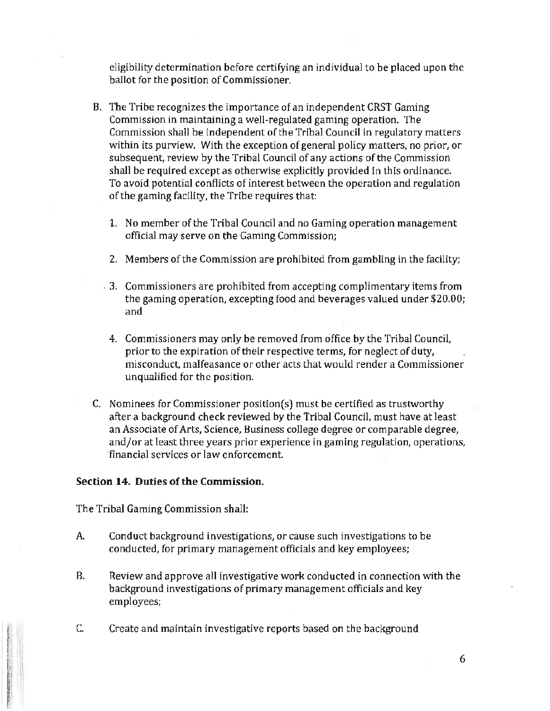eligibility determination before certifying an individual to be placed upon the ballot for the position of Commissioner.

- B. The Tribe recognizes the importance of an independent CRST Gaming Commission in maintaining a well-regulated gaming operation. The Commission shall be independent of the Tribal Council in regulatory matters within its purview. With the exception of general policy matters, no prior, or subsequent, review by the Tribal Council of any actions of the Commission shall be required except as otherwise explicitly provided in this ordinance. To avoid potential conflicts of interest between the operation and regulation of the gaming facility, the Tribe requires that: ·
	- 1. No member of the Tribal Council and no Gaming operation management official may serve on the Gaming Commission;
	- 2. Members of the Commission are prohibited from gambling in the facility;
	- 3. Commissioners are prohibited from accepting complimentary items from the gaming operation, excepting food and beverages valued under \$20.00; and
	- 4. Commissioners may only be removed from office by the Tribal Council, prior to the expiration of their respective terms, for neglect of duty, misconduct, malfeasance or other acts that would render a Commissioner unqualified for the position.
- C. Nominees for Commissioner position(s) must be certified as trustworthy after a background check reviewed by the Tribal Council, must have at least an Associate of Arts, Science, Business college degree or comparable degree, and/or at least three years prior experience in gaming regulation, operations, financial services or law enforcement.

#### Section 14. Duties of the Commission.

The Tribal Gaming Commission shall:

- A. Conduct background investigations, or cause such investigations to be conducted, for primary management officials and key employees;
- R. Review and approve all investigative work conducted in connection with the background investigations of primary management officials and key employees;
- C. Create and maintain investigative reports based on the background

6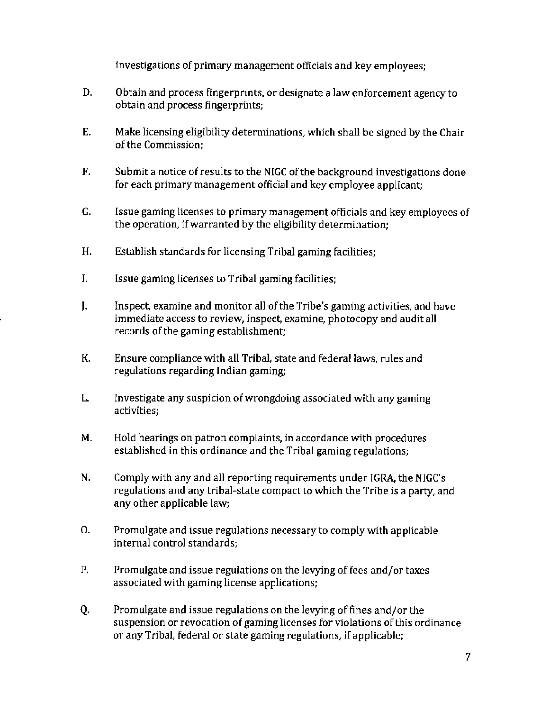investigations of primary management officials and key employees;

- D. Obtain and process fingerprints, or designate a law enforcement agency to obtain and process fingerprints;
- E. Make licensing eligibility determinations, which shall be signed by the Chair of the Commission;
- F. Submit a notice of results to the NIGC of the background investigations done for each primary management official and key employee applicant;
- G. Issue gaming licenses to primary management officials and key employees of the operation, if warranted by the eligibility determination;
- H. Establish standards for licensing Tribal gaming facilities;
- I. Issue gaming licenses to Tribal gaming facilities;
- J. Inspect, examine and monitor all of the Tribe's gaming activities, and have immediate access to review, inspect, examine, photocopy and audit all records of the gaming establishment;
- K. Ensure compliance with all Tribal, state and federal laws, rules and regulations regarding Indian gaming;
- L. Investigate any suspicion of wrongdoing associated with any gaming activities;
- M. Hold hearings on patron complaints, in accordance with procedures established in this ordinance and the Tribal gaming regulations;
- N. Comply with any and all reporting requirements under IGRA, the NIGC's regulations and any tribal-state compact to which the Tribe is a party, and any other applicable law;
- 0. Promulgate and issue regulations necessary to comply with applicable internal control standards;
- P. Promulgate and issue regulations on the levying of fees and/or taxes associated with gaming license applications;
- Q. Promulgate and issue regulations on the levying of fines and/ or the suspension or revocation of gaming licenses for violations of this ordinance or any Tribal, federal or state gaming regulations, if applicable;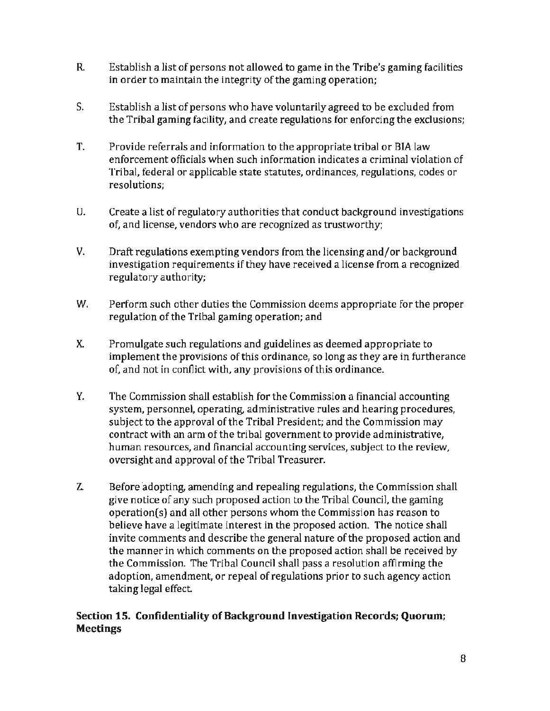- R. Establish a list of persons not allowed to game in the Tribe's gaming facilities in order to maintain the integrity of the gaming operation;
- S. Establish a list of persons who have voluntarily agreed to be excluded from the Tribal gaming facility, and create regulations for enforcing the exclusions;
- T. Provide referrals and information to the appropriate tribal or BIA law enforcement officials when such information indicates a criminal violation of Tribal, federal or applicable state statutes, ordinances, regulations, codes or resolutions;
- U. Create a list of regulatory authorities that conduct background investigations of, and license, vendors who are recognized as trustworthy;
- V. Draft regulations exempting vendors from the licensing and/or background investigation requirements if they have received a license from a recognized regulatory authority;
- W. Perform such other duties the Commission deems appropriate for the proper regulation of the Tribal gaming operation; and
- X. Promulgate such regulations and guidelines as deemed appropriate to implement the provisions of this ordinance, so long as they are in furtherance of, and not in conflict with, any provisions of this ordinance.
- Y. The Commission shall establish for the Commission a financial accounting system, personnel, operating, administrative rules and hearing procedures, subject to the approval of the Tribal President; and the Commission may contract with an arm of the tribal government to provide administrative, human resources, and financial accounting services, subject to the review, oversight and approval of the Tribal Treasurer.
- Z. Before adopting, amending and repealing regulations, the Commission shall give notice of any such proposed action to the Tribal Council, the gaming operation(s) and all other persons whom the Commission has reason to believe have a legitimate interest in the proposed action. The notice shall invite comments and describe the general nature of the proposed action and the manner in which comments on the proposed action shall be received by the Commission. The Tribal Council shall pass a resolution affirming the adoption, amendment, or repeal of regulations prior to such agency action taking legal effect.

# Section 15. Confidentiality of Background Investigation Records; Quorum; Meetings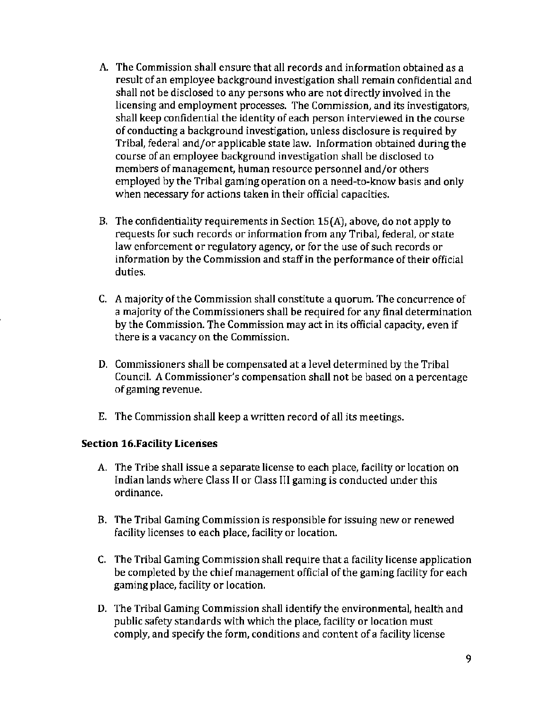- A The Commission shall ensure that all records and information obtained as a result of an employee background investigation shall remain confidential and shall not be disclosed to any persons who are not directly involved in the licensing and employment processes. The Commission, and its investigators, shall keep confidential the identity of each person interviewed in the course of conducting a background investigation, unless disclosure is required by Tribal, federal and/or applicable state law. Information obtained during the course of an employee background investigation shall be disclosed to members of management, human resource personnel and/or others employed by the Tribal gaming operation on a need-to-know basis and only when necessary for actions taken in their official capacities.
- B. The confidentiality requirements in Section 15(A), above, do not apply to requests for such records or information from any Tribal, federal, or state law enforcement or regulatory agency, or for the use of such records or information by the Commission and staff in the performance of their official duties.
- C. A majority of the Commission shall constitute a quorum. The concurrence of a majority of the Commissioners shall be required for any final determination by the Commission. The Commission may act in its official capacity, even if there is a vacancy on the Commission.
- D. Commissioners shall be compensated at a level determined by the Tribal Council. A Commissioner's compensation shall not be based on a percentage of gaming revenue.
- E. The Commission shall keep a written record of all its meetings.

## Section 16.Facility Licenses

- A. The Tribe shall issue a separate license to each place, facility or location on Indian lands where Class II or Class III gaming is conducted under this ordinance.
- B. The Tribal Gaming Commission is responsible for issuing new or renewed facility licenses to each place, facility or location.
- C. The Tribal Gaming Commission shall require that a facility license application be completed by the chief management official of the gaming facility for each gaming place, facility or location.
- D. The Tribal Gaming Commission shall identify the environmental, health and public safety standards with which the place, facility or location must comply, and specify the form, conditions and content of a facility license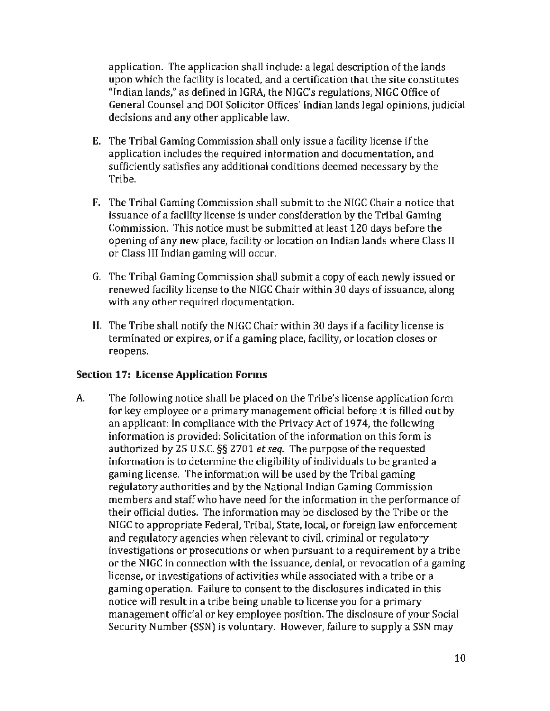application. The application shall include: a legal description of the lands upon which the facility is located, and a certification that the site constitutes "Indian lands," as defined in IGRA, the NIGC's regulations, NIGC Office of General Counsel and DOI Solicitor Offices' Indian lands legal opinions, judicial decisions and any other applicable law.

- E. The Tribal Gaming Commission shall only issue a facility license if the application includes the required information and documentation, and sufficiently satisfies any additional conditions deemed necessary by the Tribe.
- F. The Tribal Gaming Commission shall submit to the NIGC Chair a notice that issuance of a facility license is under consideration by the Tribal Gaming Commission. This notice must be submitted at least 120 days before the opening of any new place, facility or location on Indian lands where Class II or Class III Indian gaming will occur.
- G. The Tribal Gaming Commission shall submit a copy of each newly issued or renewed facility license to the NIGC Chair within 30 days of issuance, along with any other required documentation.
- H. The Tribe shall notify the NIGC Chair within 30 days if a facility license is terminated or expires, or if a gaming place, facility, or location closes or reopens.

## Section 17: License Application Fonus

A The following notice shall be placed on the Tribe's license application form for key employee or a primary management official before it is filled out by an applicant: In compliance with the Privacy Act of 197 4, the following information is provided: Solicitation of the information on this form is authorized by 25 U.S.C. §§ 2701 *et seq.* The purpose of the requested information is to determine the eligibility of individuals to be granted a gaming license. The information will be used by the Tribal gaming regulatory authorities and by the National Indian Gaming Commission members and staff who have need for the information in the performance of their official duties. The information may be disclosed by the Tribe or the NIGC to appropriate Federal, Tribal, State, local, or foreign law enforcement and regulatory agencies when relevant to civil, criminal or regulatory investigations or prosecutions or when pursuant to a requirement by a tribe or the NIGC in connection with the issuance, denial, or revocation of a gaming license, or investigations of activities while associated with a tribe or a gaming operation. Failure to consent to the disclosures indicated in this notice will result in a tribe being unable to license you for a primary management official or key employee position. The disclosure of your Social Security Number (SSN) is voluntary. However, failure to supply a SSN may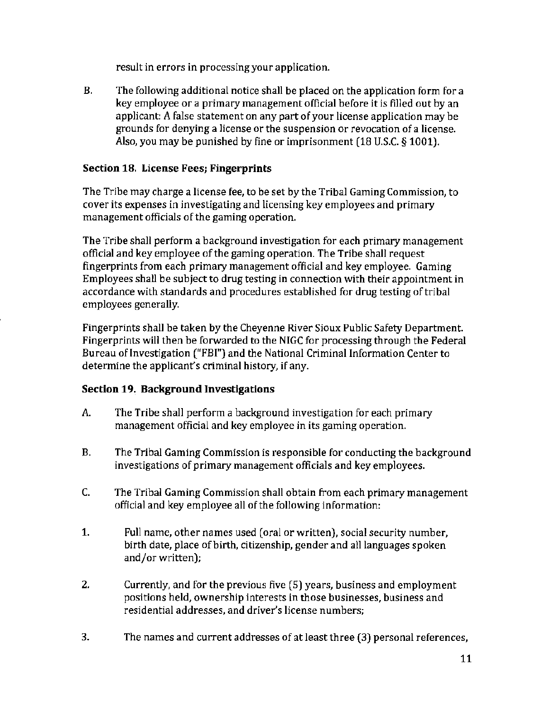result in errors in processing your application.

B. The following additional notice shall be placed on the application form for a key employee or a primary management official before it is filled out by an applicant: *A* false statement on any part of your license application may be grounds for denying a license or the suspension or revocation of a license. Also, you may be punished by fine or imprisonment (18U.S.C.§1001).

# Section 18. License Fees; Fingerprints

The Tribe may charge a license fee, to be set by the Tribal Gaming Commission, to cover its expenses in investigating and licensing key employees and primary management officials of the gaming operation.

The Tribe shall perform a background investigation for each primary management official and key employee of the gaming operation. The Tribe shall request fingerprints from each primary management official and key employee. Gaming Employees shall be subject to drug testing in connection with their appointment in accordance with standards and procedures established for drug testing of tribal employees generally.

Fingerprints shall be taken by the Cheyenne River Sioux Public Safety Department. Fingerprints will then be forwarded to the NIGC for processing through the Federal Bureau of Investigation ("FBI") and the National Criminal Information Center to determine the applicant's criminal history, if any.

# Section 19. Background Investigations

- A. The Tribe shall perform a background investigation for each primary management official and key employee in its gaming operation.
- B. The Tribal Gaming Commission is responsible for conducting the background investigations of primary management officials and key employees.
- C. The Tribal Gaming Commission shall obtain from each primary management official and key employee all of the following information:
- 1. Full name, other names used (oral or written), social security number, birth date, place of birth, citizenship, gender and all languages spoken and/or written);
- 2. Currently, and for the previous five (5) years, business and employment positions held, ownership interests in those businesses, business and residential addresses, and driver's license numbers;
- 3. The names and current addresses of at least three (3) personal references,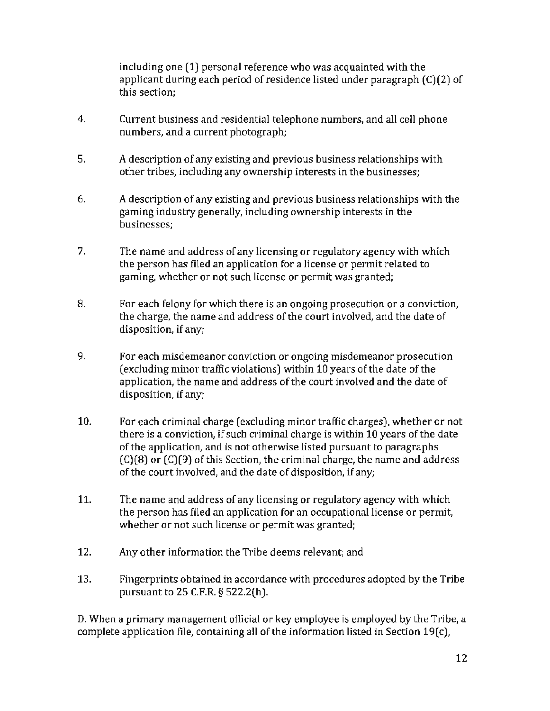including one (1) personal reference who was acquainted with the applicant during each period of residence listed under paragraph (C)(2) of this section;

- 4. Current business and residential telephone numbers, and all cell phone numbers, and a current photograph;
- 5. A description of any existing and previous business relationships with other tribes, including any ownership interests in the businesses;
- 6. A description of any existing and previous business relationships with the gaming industry generally, including ownership interests in the businesses;
- 7. The name and address of any licensing or regulatory agency with which the person has filed an application for a license or permit related to gaming, whether or not such license or permit was granted;
- 8. For each felony for which there is an ongoing prosecution or a conviction, the charge, the name and address of the court involved, and the date of disposition, if any;
- 9. For each misdemeanor conviction or ongoing misdemeanor prosecution (excluding minor traffic violations) within 10 years of the date of the application, the name and address of the court involved and the date of disposition, if any;
- 10. For each criminal charge (excluding minor traffic charges), whether or not there is a conviction, if such criminal charge is within 10 years of the date of the application, and is not otherwise listed pursuant to paragraphs (C)(8) or (C)(9) of this Section, the criminal charge, the name and address of the court involved, and the date of disposition, if any;
- 11. The name and address of any licensing or regulatory agency with which the person has filed an application for an occupational license or permit, whether or not such license or permit was granted;
- 12. Any other information the Tribe deems relevant; and
- 13. Fingerprints obtained in accordance with procedures adopted by the Tribe pursuant to 25 C.F.R. § 522.2(h).

D. When a primary management official or key employee is employed by the Tribe, a complete application file, containing all of the information listed in Section 19(c),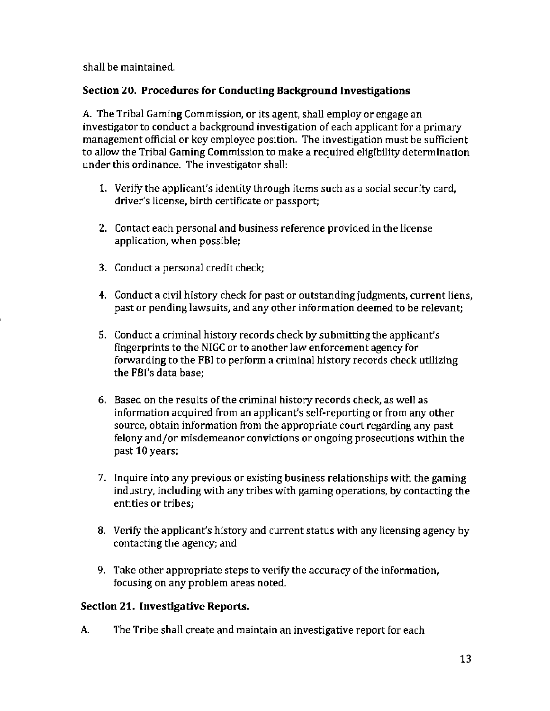shall be maintained.

# **Section** 20. **Procedures for Conducting Background Investigations**

A. The Tribal Gaming Commission, or its agent, shall employ or engage an investigator to conduct a background investigation of each applicant for a primary management official or key employee position. The investigation must be sufficient to allow the Tribal Gaming Commission to make a required eligibility determination under this ordinance. The investigator shall:

- 1. Verify the applicant's identity through items such as a social security card, driver's license, birth certificate or passport;
- 2. Contact each personal and business reference provided in the license application, when possible;
- 3. Conduct a personal credit check;
- 4. Conduct a civil history check for past or outstanding judgments, current liens, past or pending lawsuits, and any other information deemed to be relevant;
- 5. Conduct a criminal history records check by submitting the applicant's fingerprints to the NIGC or to another law enforcement agency for forwarding to the FBI to perform a criminal history records check utilizing the FBl's data base;
- 6. Based on the results of the criminal history records check, as well as information acquired from an applicant's self-reporting or from any other source, obtain information from the appropriate court regarding any past felony and/or misdemeanor convictions or ongoing prosecutions within the past 10 years;
- 7. Inquire into any previous or existing business relationships with the gaming industry, including with any tribes with gaming operations, by contacting the entities or tribes;
- 8. Verify the applicant's history and current status with any licensing agency by contacting the agency; and
- 9. Take other appropriate steps to verify the accuracy of the information, focusing on any problem areas noted.

# **Section 21. Investigative Reports.**

A. The Tribe shall create and maintain an investigative report for each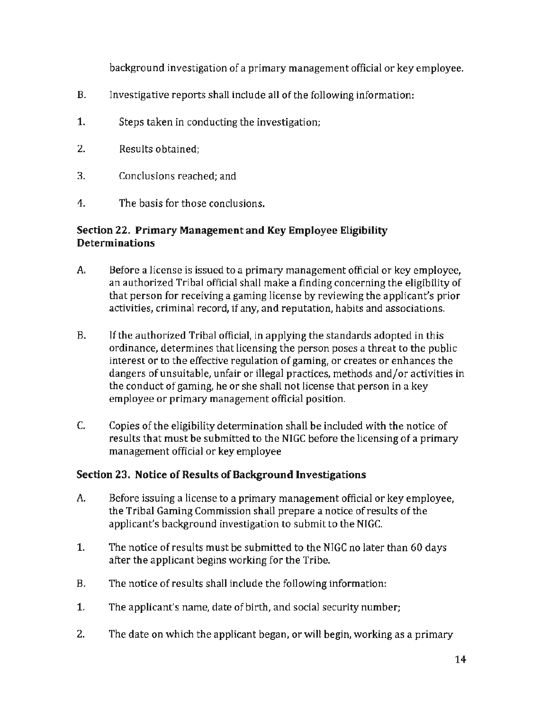background investigation of a primary management official or key employee.

- B. Investigative reports shall include all of the following information:
- 1. Steps taken in conducting the investigation;
- 2. Results obtained;
- 3. Conclusions reached; and
- 1·. The basis for those conclusions.

# Section 22. Primary Management and Key Employee Eligibility **Determinations**

- A. Before a license is issued to a primary management official or key employee, an authorized Tribal official shall make a finding concerning the eligibility of that person for receiving a gaming license by reviewing the applicant's prior activities, criminal record, if any, and reputation, habits and associations.
- B. If the authorized Tribal official, in applying the standards adopted in this ordinance, determines that licensing the person poses a threat to the public interest or to the effective regulation of gaming, or creates or enhances the dangers of unsuitable, unfair or illegal practices, methods and/or activities in the conduct of gaming, he or she shall not license that person in a key employee or primary management official position.
- C. Copies of the eligibility determination shall be included with the notice of results that must be submitted to the NIGC before the licensing of a primary management official or key employee

# Section 23. Notice of Results of Background Investigations

- A. Before issuing a license to a primary management official or key employee, the Tribal Gaming Commission shall prepare a notice of results of the applicant's background investigation to submit to the NIGC.
- 1. The notice of results must be submitted to the NIGC no later than 60 days after the applicant begins working for the Tribe.
- B. The notice of results shall include the following information:
- 1. The applicant's name, date of birth, and social security number;
- 2. The date on which the applicant began, or will begin, working as a primary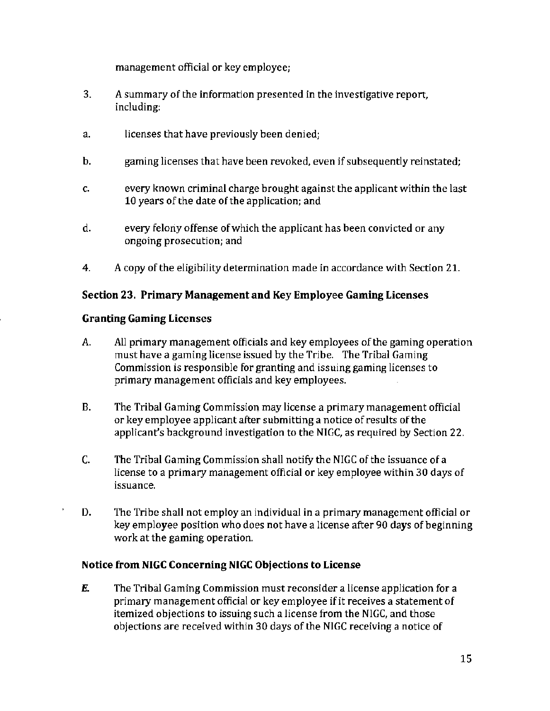management official or key employee;

- 3. A summary of the information presented in the investigative report, including:
- a. licenses that have previously been denied;
- b. gaming licenses that have been revoked, even if subsequently reinstated;
- c. every known criminal charge brought against the applicant within the last 10 years of the date of the application; and
- d. every felony offense of which the applicant has been convicted or any ongoing prosecution; and
- 4. A copy of the eligibility determination made in accordance with Section 21.

# **Section** 23. **Primary Management and Key Employee Gaming Licenses**

# **Granting Gaming Licenses**

- A. All primary management officials and key employees of the gaming operation must have a gaming license issued by the Tribe. The Tribal Gaming Commission is responsible for granting and issuing gaming licenses to primary management officials and key employees.
- B. The Tribal Gaming Commission may license a primary management official or key employee applicant after submitting a notice of results of the applicant's background investigation to the NIGC, as required by Section 22.
- C. The Tribal Gaming Commission shall notify the NIGC of the issuance of a license to a primary management official or key employee within 30 days of issuance.
- D. The Tribe shall not employ an individual in a primary management official or key employee position who does not have a license after 90 days of beginning work at the gaming operation.

# **Notice from NIGC Concerning NIGC Objections to License**

*E.* The Tribal Gaming Commission must reconsider a license application for a primary management official or key employee if it receives a statement of itemized objections to issuing such a license from the NIGC, and those objections are received within 30 days of the NIGC receiving a notice of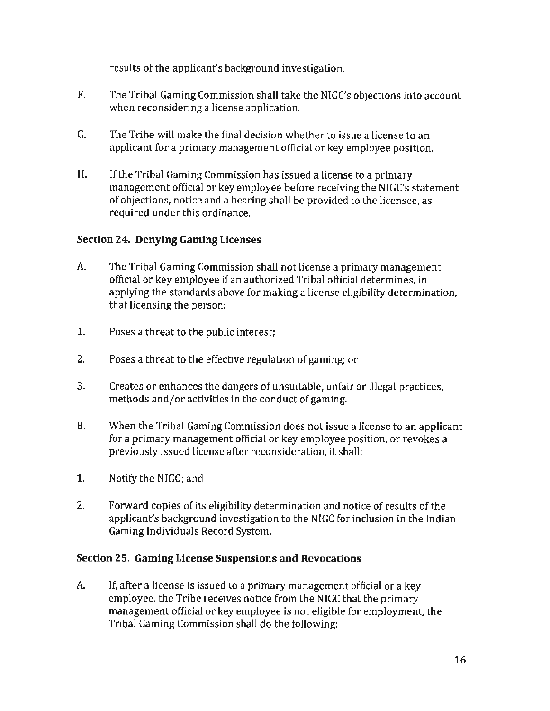results of the applicant's background investigation.

- F. The Tribal Gaming Commission shall take the NIGC's objections into account when reconsidering a license application.
- G. The Tribe will make the final decision whether to issue a license to an applicant for a primary management official or key employee position.
- H. If the Tribal Gaming Commission has issued a license to a primary management official or key employee before receiving the NIGC's statement of objections, notice and a hearing shall be provided to the licensee, as required under this ordinance.

# Section 24. Denying Gaming Licenses

- *A.* The Tribal Gaming Commission shall not license a primary management official or key employee if an authorized Tribal official determines, in applying the standards above for making a license eligibility determination, that licensing the person:
- 1. Poses a threat to the public interest;
- 2. Poses a threat to the effective regulation of gaming; or
- 3. Creates or enhances the dangers of unsuitable, unfair or illegal practices, methods and/or activities in the conduct of gaming.
- B. When the Tribal Gaming Commission does not issue a license to an applicant for a primary management official or key employee position, or revokes a previously issued license after reconsideration, it shall:
- 1. Notify the NIGC; and
- 2. Forward copies of its eligibility determination and notice of results of the applicant's background investigation to the NIGC for inclusion in the Indian Gaming Individuals Record System.

## Section 25. Gaming License Suspensions and Revocations

A. If, after a license is issued to a primary management official or a key employee, the Tribe receives notice from the NIGC that the primary management official or key employee is not eligible for employment, the Tribal Gaming Commission shall do the following: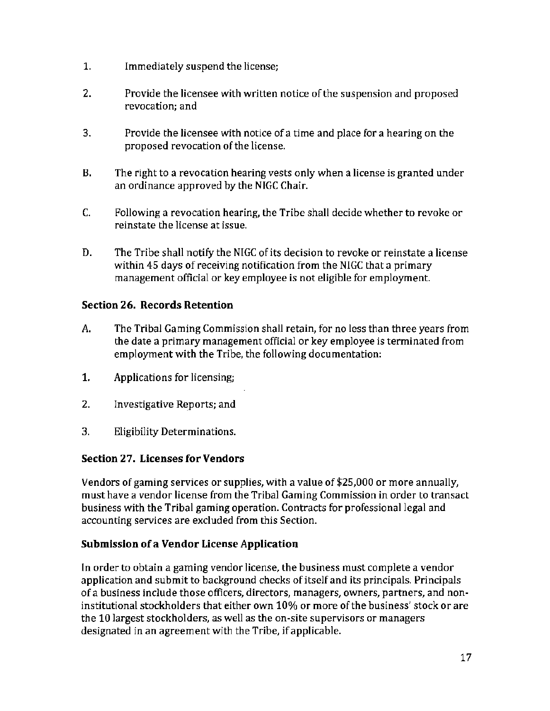- 1. Immediately suspend the license;
- 2. Provide the licensee with written notice of the suspension and proposed revocation; and
- 3. Provide the licensee with notice of a time and place for a hearing on the proposed revocation of the license.
- B. The right to a revocation hearing vests only when a license is granted under an ordinance approved by the NIGC Chair.
- C. Following a revocation hearing, the Tribe shall decide whether to revoke or reinstate the license at issue.
- D. The Tribe shall notify the NIGC of its decision to revoke or reinstate a license within 45 days of receiving notification from the NIGC that a primary management official or key employee is not eligible for employment.

# Section 26. Records Retention

- A. The Tribal Gaming Commission shall retain, for no less than three years from the date a primary management official or key employee is terminated from employment with the Tribe, the following documentation:
- 1. Applications for licensing;
- 2. Investigative Reports; and
- 3. Eligibility Determinations.

## Section 27. Licenses for Vendors

Vendors of gaming services or supplies, with a value of \$25,000 or more annually, must have a vendor license from the Tribal Gaming Commission in order to transact business with the Tribal gaming operation. Contracts for professional legal and accounting services are excluded from this Section.

# Submission of a Vendor License Application

In order to obtain a gaming vendor license, the business must complete a vendor application and submit to background checks of itself and its principals. Principals of a business include those officers, directors, managers, owners, partners, and noninstitutional stockholders that either own 10% or more of the business' stock or are the 10 largest stockholders, as well as the on-site supervisors or managers designated in an agreement with the Tribe, if applicable.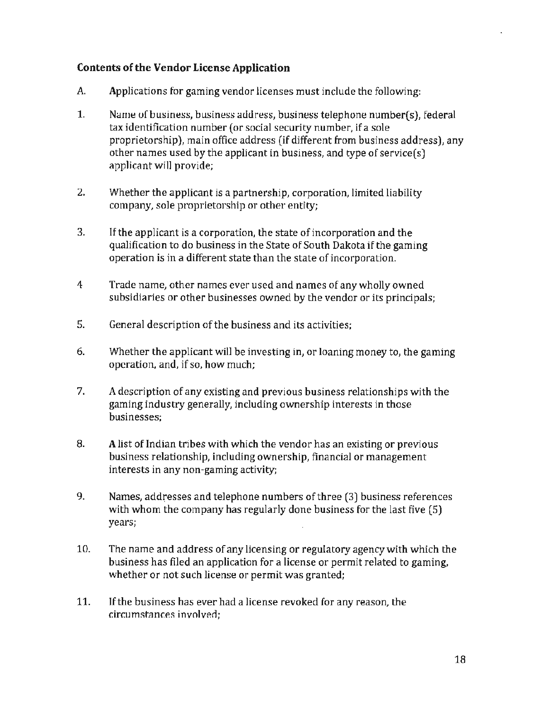# **Contents of the Vendor License Application**

- A. Applications for gaming vendor licenses must include the following:
- 1. Name of business, business address, business telephone number(s), federal tax identification number (or social security number, if a sole proprietorship), main office address (if different from business address), any other names used by the applicant in business, and type of service(s) applicant will provide;
- 2. Whether the applicant is a partnership, corporation, limited liability company, sole proprietorship or other entity;
- 3. If the applicant is a corporation, the state of incorporation and the qualification to do business in the State of South Dakota if the gaming operation is in a different state than the state of incorporation.
- 4. Trade name, other names ever used and names of any wholly owned subsidiaries or other businesses owned by the vendor or its principals;
- 5. General description of the business and its activities;
- 6. Whether the applicant will be investing in, or loaning money to, the gaming operation, and, if so, how much;
- 7. A description of any existing and previous business relationships with the gaming industry generally, including ownership interests in those businesses;
- 8. A list of Indian tribes with which the vendor has an existing or previous business relationship, including ownership, financial or management interests in any non-gaming activity;
- 9. Names, addresses and telephone numbers of three (3) business references with whom the company has regularly done business for the last five (5) years;
- 10. The name and address of any licensing or regulatory agency with which the business has filed an application for a license or permit related to gaming, whether or not such license or permit was granted;
- 11. If the business has ever had a license revoked for any reason, the circumstances involved: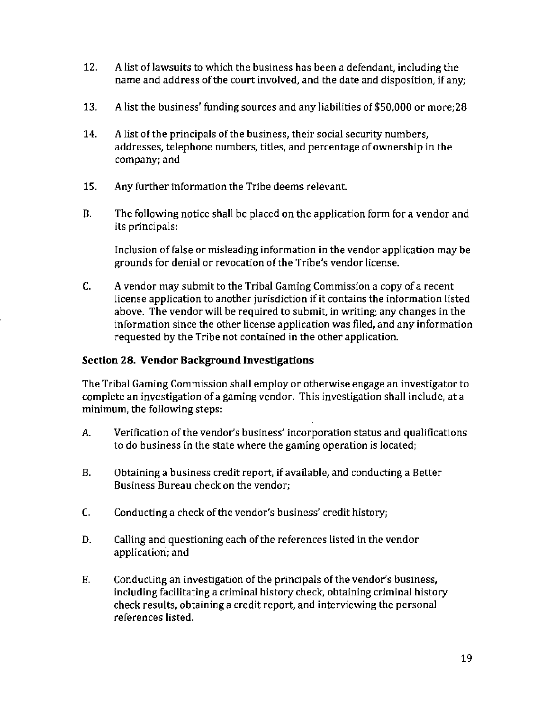- 12. A list of lawsuits to which the business has been a defendant, including the name and address of the court involved, and the date and disposition, if any;
- 13. A list the business' funding sources and any liabilities of \$50,000 or more;28
- 14. A list of the principals of the business, their social security numbers, addresses, telephone numbers, titles, and percentage of ownership in the company; and
- 15. Any further information the Tribe deems relevant.
- B. The following notice shall be placed on the application form for a vendor and its principals:

Inclusion of false or misleading information in the vendor application may be grounds for denial or revocation of the Tribe's vendor license.

C. A vendor may submit to the Tribal Gaming Commission a copy of a recent license application to another jurisdiction if it contains the information listed above. The vendor will be required to submit, in writing; any changes in the information since the other license application was filed, and any information requested by the Tribe not contained in the other application.

# **Section 28. Vendor Background Investigations**

The Tribal Gaming Commission shall employ or otherwise engage an investigator to complete an investigation of a gaming vendor. This investigation shall include, at a minimum, the following steps:

- A. Verification of the vendor's business' incorporation status and qualifications to do business in the state where the gaming operation is located;
- B. Obtaining a business credit report, if available, and conducting a Better Business Bureau check on the vendor;
- C. Conducting a check of the vendor's business' credit history;
- D. Calling and questioning each of the references listed in the vendor application; and
- E. Conducting an investigation of the principals of the vendor's business, including facilitating a criminal history check, obtaining criminal history check results, obtaining a credit report, and interviewing the personal references listed.